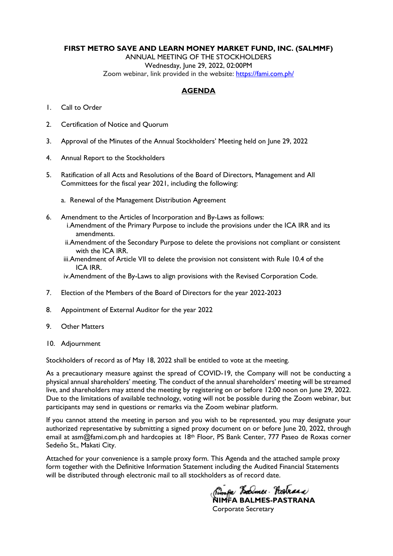### **FIRST METRO SAVE AND LEARN MONEY MARKET FUND, INC. (SALMMF)**

ANNUAL MEETING OF THE STOCKHOLDERS

Wednesday, June 29, 2022, 02:00PM

Zoom webinar, link provided in the website:<https://fami.com.ph/>

### **AGENDA**

- 1. Call to Order
- 2. Certification of Notice and Quorum
- 3. Approval of the Minutes of the Annual Stockholders' Meeting held on June 29, 2022
- 4. Annual Report to the Stockholders
- 5. Ratification of all Acts and Resolutions of the Board of Directors, Management and All Committees for the fiscal year 2021, including the following:
	- a. Renewal of the Management Distribution Agreement
- 6. Amendment to the Articles of Incorporation and By-Laws as follows: i.Amendment of the Primary Purpose to include the provisions under the ICA IRR and its amendments.
	- ii.Amendment of the Secondary Purpose to delete the provisions not compliant or consistent with the ICA IRR.
	- iii.Amendment of Article VII to delete the provision not consistent with Rule 10.4 of the ICA IRR.

iv.Amendment of the By-Laws to align provisions with the Revised Corporation Code.

- 7. Election of the Members of the Board of Directors for the year 2022-2023
- 8. Appointment of External Auditor for the year 2022
- 9. Other Matters
- 10. Adjournment

Stockholders of record as of May 18, 2022 shall be entitled to vote at the meeting.

As a precautionary measure against the spread of COVID-19, the Company will not be conducting a physical annual shareholders' meeting. The conduct of the annual shareholders' meeting will be streamed live, and shareholders may attend the meeting by registering on or before 12:00 noon on June 29, 2022. Due to the limitations of available technology, voting will not be possible during the Zoom webinar, but participants may send in questions or remarks via the Zoom webinar platform.

If you cannot attend the meeting in person and you wish to be represented, you may designate your authorized representative by submitting a signed proxy document on or before June 20, 2022, through email at asm@fami.com.ph and hardcopies at 18<sup>th</sup> Floor, PS Bank Center, 777 Paseo de Roxas corner Sedeño St., Makati City.

Attached for your convenience is a sample proxy form. This Agenda and the attached sample proxy form together with the Definitive Information Statement including the Audited Financial Statements will be distributed through electronic mail to all stockholders as of record date.

Rimfa Lamer. Hostraad **NIMFA BALMES-PASTRANA** 

Corporate Secretary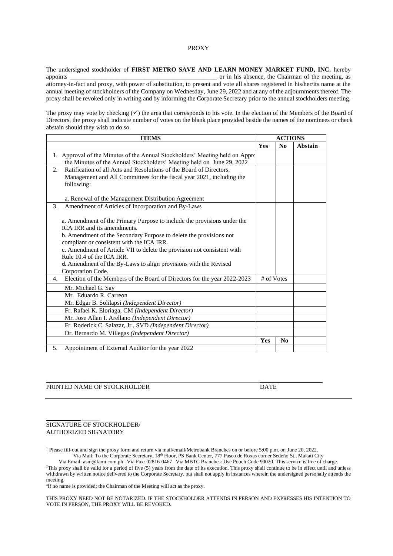#### PROXY

The undersigned stockholder of **FIRST METRO SAVE AND LEARN MONEY MARKET FUND, INC.** hereby appoints or in his absence, the Chairman of the meeting, as  $\Box$  or in his absence, the Chairman of the meeting, as attorney-in-fact and proxy, with power of substitution, to present and vote all shares registered in his/her/its name at the annual meeting of stockholders of the Company on Wednesday, June 29, 2022 and at any of the adjournments thereof. The proxy shall be revoked only in writing and by informing the Corporate Secretary prior to the annual stockholders meeting.

The proxy may vote by checking  $(\checkmark)$  the area that corresponds to his vote. In the election of the Members of the Board of Directors, the proxy shall indicate number of votes on the blank place provided beside the names of the nominees or check abstain should they wish to do so.

| <b>ITEMS</b>                                                                   |            | <b>ACTIONS</b> |                |
|--------------------------------------------------------------------------------|------------|----------------|----------------|
|                                                                                | <b>Yes</b> | $\bf N_0$      | <b>Abstain</b> |
| 1. Approval of the Minutes of the Annual Stockholders' Meeting held on Appro   |            |                |                |
| the Minutes of the Annual Stockholders' Meeting held on June 29, 2022          |            |                |                |
| Ratification of all Acts and Resolutions of the Board of Directors,<br>2.      |            |                |                |
| Management and All Committees for the fiscal year 2021, including the          |            |                |                |
| following:                                                                     |            |                |                |
|                                                                                |            |                |                |
| a. Renewal of the Management Distribution Agreement                            |            |                |                |
| Amendment of Articles of Incorporation and By-Laws<br>3.                       |            |                |                |
|                                                                                |            |                |                |
| a. Amendment of the Primary Purpose to include the provisions under the        |            |                |                |
| ICA IRR and its amendments.                                                    |            |                |                |
| b. Amendment of the Secondary Purpose to delete the provisions not             |            |                |                |
| compliant or consistent with the ICA IRR.                                      |            |                |                |
| c. Amendment of Article VII to delete the provision not consistent with        |            |                |                |
| Rule 10.4 of the ICA IRR.                                                      |            |                |                |
| d. Amendment of the By-Laws to align provisions with the Revised               |            |                |                |
| Corporation Code.                                                              |            |                |                |
| Election of the Members of the Board of Directors for the year 2022-2023<br>4. | # of Votes |                |                |
| Mr. Michael G. Say                                                             |            |                |                |
| Mr. Eduardo R. Carreon                                                         |            |                |                |
| Mr. Edgar B. Solilapsi (Independent Director)                                  |            |                |                |
| Fr. Rafael K. Eloriaga, CM (Independent Director)                              |            |                |                |
| Mr. Jose Allan I. Arellano (Independent Director)                              |            |                |                |
| Fr. Roderick C. Salazar, Jr., SVD (Independent Director)                       |            |                |                |
| Dr. Bernardo M. Villegas (Independent Director)                                |            |                |                |
|                                                                                | Yes        | N <sub>0</sub> |                |
| 5.<br>Appointment of External Auditor for the year 2022                        |            |                |                |

#### PRINTED NAME OF STOCKHOLDER DATE

#### SIGNATURE OF STOCKHOLDER/ AUTHORIZED SIGNATORY

\_\_\_\_\_\_\_\_\_\_\_\_\_\_\_\_\_

<sup>1</sup> Please fill-out and sign the proxy form and return via mail/email/Metrobank Branches on or before 5:00 p.m. on June 20, 2022. Via Mail: To the Corporate Secretary, 18th Floor, PS Bank Center, 777 Paseo de Roxas corner Sedeño St., Makati City

\_\_\_\_\_\_\_\_\_\_\_\_\_\_\_\_\_\_\_\_\_\_\_\_\_\_\_\_\_\_ \_\_\_\_\_\_\_\_\_\_\_\_\_\_\_\_\_\_\_\_

Via Email: asm@fami.com.ph | Via Fax: 02816-0467 | Via MBTC Branches: Use Pouch Code 90020. This service is free of charge. <sup>2</sup>This proxy shall be valid for a period of five (5) years from the date of its execution. This proxy shall continue to be in effect until and unless withdrawn by written notice delivered to the Corporate Secretary, but shall not apply in instances wherein the undersigned personally attends the meeting.

<sup>3</sup>If no name is provided; the Chairman of the Meeting will act as the proxy.

THIS PROXY NEED NOT BE NOTARIZED. IF THE STOCKHOLDER ATTENDS IN PERSON AND EXPRESSES HIS INTENTION TO VOTE IN PERSON, THE PROXY WILL BE REVOKED.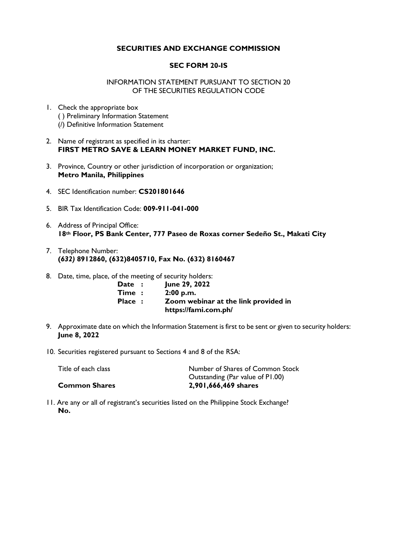## **SECURITIES AND EXCHANGE COMMISSION**

### **SEC FORM 20-IS**

### INFORMATION STATEMENT PURSUANT TO SECTION 20 OF THE SECURITIES REGULATION CODE

- 1. Check the appropriate box ( ) Preliminary Information Statement (/) Definitive Information Statement
- 2. Name of registrant as specified in its charter: **FIRST METRO SAVE & LEARN MONEY MARKET FUND, INC.**
- 3. Province, Country or other jurisdiction of incorporation or organization; **Metro Manila, Philippines**
- 4. SEC Identification number: **CS201801646**
- 5. BIR Tax Identification Code: **009-911-041-000**
- 6. Address of Principal Office: **18th Floor, PS Bank Center, 777 Paseo de Roxas corner Sedeño St., Makati City**
- 7. Telephone Number: **(***632)* **8912860, (632)8405710, Fax No. (632) 8160467**
- 8. Date, time, place, of the meeting of security holders:

| <b>Date</b> :       | June 29, 2022                        |
|---------------------|--------------------------------------|
| $\mathsf{Time}\; :$ | 2:00 p.m.                            |
| <b>Place :</b>      | Zoom webinar at the link provided in |
|                     | https://fami.com.ph/                 |

- 9. Approximate date on which the Information Statement is first to be sent or given to security holders: **June 8, 2022**
- 10. Securities registered pursuant to Sections 4 and 8 of the RSA:

| Title of each class  | Number of Shares of Common Stock |
|----------------------|----------------------------------|
|                      | Outstanding (Par value of P1.00) |
| <b>Common Shares</b> | 2,901,666,469 shares             |

11. Are any or all of registrant's securities listed on the Philippine Stock Exchange? **No.**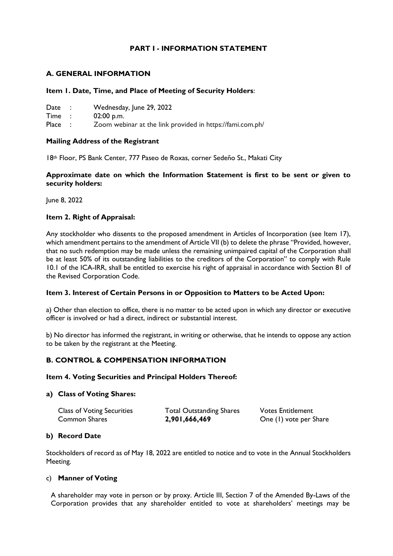## **PART I - INFORMATION STATEMENT**

## **A. GENERAL INFORMATION**

### **Item 1. Date, Time, and Place of Meeting of Security Holders**:

| Date |  | Wednesday, June 29, 2022 |  |  |  |
|------|--|--------------------------|--|--|--|
|------|--|--------------------------|--|--|--|

Time : 02:00 p.m.

Place : Zoom webinar at the link provided in https://fami.com.ph/

### **Mailing Address of the Registrant**

18th Floor, PS Bank Center, 777 Paseo de Roxas, corner Sedeño St., Makati City

**Approximate date on which the Information Statement is first to be sent or given to security holders:** 

June 8, 2022

### **Item 2. Right of Appraisal:**

Any stockholder who dissents to the proposed amendment in Articles of Incorporation (see Item 17), which amendment pertains to the amendment of Article VII (b) to delete the phrase "Provided, however, that no such redemption may be made unless the remaining unimpaired capital of the Corporation shall be at least 50% of its outstanding liabilities to the creditors of the Corporation" to comply with Rule 10.1 of the ICA-IRR, shall be entitled to exercise his right of appraisal in accordance with Section 81 of the Revised Corporation Code.

### **Item 3. Interest of Certain Persons in or Opposition to Matters to be Acted Upon:**

a) Other than election to office, there is no matter to be acted upon in which any director or executive officer is involved or had a direct, indirect or substantial interest.

b) No director has informed the registrant, in writing or otherwise, that he intends to oppose any action to be taken by the registrant at the Meeting.

### **B. CONTROL & COMPENSATION INFORMATION**

### **Item 4. Voting Securities and Principal Holders Thereof:**

### **a) Class of Voting Shares:**

| <b>Class of Voting Securities</b> | <b>Total Outstanding Shares</b> | <b>Votes Entitlement</b> |
|-----------------------------------|---------------------------------|--------------------------|
| Common Shares                     | 2,901,666,469                   | One (1) vote per Share   |

### **b) Record Date**

Stockholders of record as of May 18, 2022 are entitled to notice and to vote in the Annual Stockholders Meeting.

### c) **Manner of Voting**

A shareholder may vote in person or by proxy. Article III, Section 7 of the Amended By-Laws of the Corporation provides that any shareholder entitled to vote at shareholders' meetings may be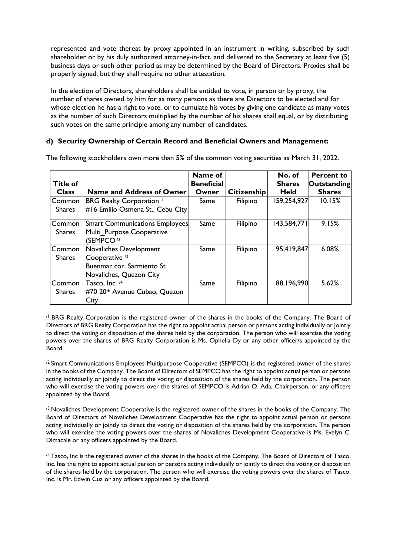represented and vote thereat by proxy appointed in an instrument in writing, subscribed by such shareholder or by his duly authorized attorney-in-fact, and delivered to the Secretary at least five (5) business days or such other period as may be determined by the Board of Directors. Proxies shall be properly signed, but they shall require no other attestation.

In the election of Directors, shareholders shall be entitled to vote, in person or by proxy, the number of shares owned by him for as many persons as there are Directors to be elected and for whose election he has a right to vote, or to cumulate his votes by giving one candidate as many votes as the number of such Directors multiplied by the number of his shares shall equal, or by distributing such votes on the same principle among any number of candidates.

## **d) Security Ownership of Certain Record and Beneficial Owners and Management:**

| <b>Title of</b><br><b>Class</b> | <b>Name and Address of Owner</b>                                                                             | Name of<br><b>Beneficial</b><br>Owner | <b>Citizenship</b> | No. of<br><b>Shares</b><br><b>Held</b> | <b>Percent to</b><br><b>Outstanding</b><br><b>Shares</b> |
|---------------------------------|--------------------------------------------------------------------------------------------------------------|---------------------------------------|--------------------|----------------------------------------|----------------------------------------------------------|
| Common<br><b>Shares</b>         | <b>BRG Realty Corporation</b><br>#16 Emilio Osmena St., Cebu City                                            | Same                                  | Filipino           | 159,254,927                            | 10.15%                                                   |
| Common<br><b>Shares</b>         | <b>Smart Communications Employees</b><br>Multi Purpose Cooperative<br>(SEMPCO <sup>12</sup>                  | Same                                  | Filipino           | 143,584,771                            | 9.15%                                                    |
| Common<br><b>Shares</b>         | Novaliches Development<br>Cooperative <sup>/3</sup><br>Buenmar cor. Sarmiento St.<br>Novaliches, Quezon City | Same                                  | Filipino           | 95,419,847                             | 6.08%                                                    |
| Common<br><b>Shares</b>         | Tasco, Inc. /4<br>#70 20th Avenue Cubao, Quezon<br>City                                                      | Same                                  | Filipino           | 88,196,990                             | 5.62%                                                    |

The following stockholders own more than 5% of the common voting securities as March 31, 2022.

/1 BRG Realty Corporation is the registered owner of the shares in the books of the Company. The Board of Directors of BRG Realty Corporation has the right to appoint actual person or persons acting individually or jointly to direct the voting or disposition of the shares held by the corporation. The person who will exercise the voting powers over the shares of BRG Realty Corporation is Ms. Ophelia Dy or any other officer/s appointed by the Board.

<sup>/2</sup> Smart Communications Employees Multipurpose Cooperative (SEMPCO) is the registered owner of the shares in the books of the Company. The Board of Directors of SEMPCO has the right to appoint actual person or persons acting individually or jointly to direct the voting or disposition of the shares held by the corporation. The person who will exercise the voting powers over the shares of SEMPCO is Adrian O. Ada, Chairperson, or any officers appointed by the Board.

 $\beta$  Novaliches Development Cooperative is the registered owner of the shares in the books of the Company. The Board of Directors of Novaliches Development Cooperative has the right to appoint actual person or persons acting individually or jointly to direct the voting or disposition of the shares held by the corporation. The person who will exercise the voting powers over the shares of Novaliches Development Cooperative is Ms. Evelyn C. Dimacale or any officers appointed by the Board.

/4 Tasco, Inc is the registered owner of the shares in the books of the Company. The Board of Directors of Tasco, Inc. has the right to appoint actual person or persons acting individually or jointly to direct the voting or disposition of the shares held by the corporation. The person who will exercise the voting powers over the shares of Tasco, Inc. is Mr. Edwin Cua or any officers appointed by the Board.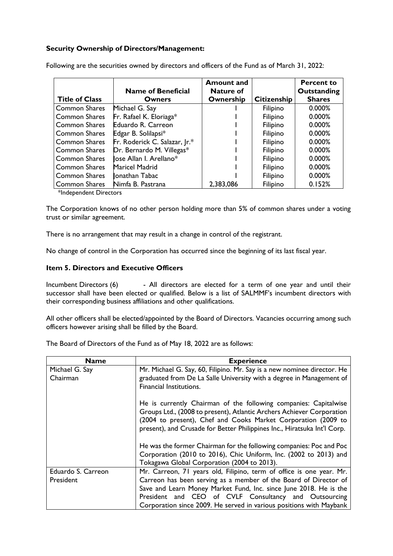## **Security Ownership of Directors/Management:**

|                       | <b>Name of Beneficial</b>     | <b>Amount and</b><br><b>Nature of</b> |                    | <b>Percent to</b><br>Outstanding |
|-----------------------|-------------------------------|---------------------------------------|--------------------|----------------------------------|
| <b>Title of Class</b> | Owners                        | Ownership                             | <b>Citizenship</b> | <b>Shares</b>                    |
| <b>Common Shares</b>  | Michael G. Say                |                                       | Filipino           | $0.000\%$                        |
| <b>Common Shares</b>  | Fr. Rafael K. Eloriaga*       |                                       | Filipino           | 0.000%                           |
| <b>Common Shares</b>  | Eduardo R. Carreon            |                                       | Filipino           | 0.000%                           |
| Common Shares         | Edgar B. Solilapsi*           |                                       | Filipino           | 0.000%                           |
| <b>Common Shares</b>  | Fr. Roderick C. Salazar, Jr.* |                                       | Filipino           | 0.000%                           |
| <b>Common Shares</b>  | Dr. Bernardo M. Villegas*     |                                       | Filipino           | 0.000%                           |
| <b>Common Shares</b>  | lose Allan I. Arellano*       |                                       | Filipino           | 0.000%                           |
| <b>Common Shares</b>  | <b>Maricel Madrid</b>         |                                       | Filipino           | 0.000%                           |
| <b>Common Shares</b>  | llonathan Tabac               |                                       | Filipino           | 0.000%                           |
| <b>Common Shares</b>  | Nimfa B. Pastrana             | 2,383,086                             | Filipino           | 0.152%                           |

Following are the securities owned by directors and officers of the Fund as of March 31, 2022:

\*Independent Directors

The Corporation knows of no other person holding more than 5% of common shares under a voting trust or similar agreement.

There is no arrangement that may result in a change in control of the registrant.

No change of control in the Corporation has occurred since the beginning of its last fiscal year.

## **Item 5. Directors and Executive Officers**

Incumbent Directors (6) - All directors are elected for a term of one year and until their successor shall have been elected or qualified. Below is a list of SALMMF's incumbent directors with their corresponding business affiliations and other qualifications.

All other officers shall be elected/appointed by the Board of Directors. Vacancies occurring among such officers however arising shall be filled by the Board.

| <b>Name</b>        | <b>Experience</b>                                                        |
|--------------------|--------------------------------------------------------------------------|
| Michael G. Say     | Mr. Michael G. Say, 60, Filipino. Mr. Say is a new nominee director. He  |
| Chairman           | graduated from De La Salle University with a degree in Management of     |
|                    | Financial Institutions.                                                  |
|                    |                                                                          |
|                    | He is currently Chairman of the following companies: Capitalwise         |
|                    | Groups Ltd., (2008 to present), Atlantic Archers Achiever Corporation    |
|                    | (2004 to present), Chef and Cooks Market Corporation (2009 to            |
|                    | present), and Crusade for Better Philippines Inc., Hiratsuka Int'l Corp. |
|                    |                                                                          |
|                    | He was the former Chairman for the following companies: Poc and Poc      |
|                    | Corporation (2010 to 2016), Chic Uniform, Inc. (2002 to 2013) and        |
|                    | Tokagawa Global Corporation (2004 to 2013).                              |
| Eduardo S. Carreon | Mr. Carreon, 71 years old, Filipino, term of office is one year. Mr.     |
| President          | Carreon has been serving as a member of the Board of Director of         |
|                    | Save and Learn Money Market Fund, Inc. since June 2018. He is the        |
|                    | President and CEO of CVLF Consultancy and Outsourcing                    |
|                    | Corporation since 2009. He served in various positions with Maybank      |

The Board of Directors of the Fund as of May 18, 2022 are as follows: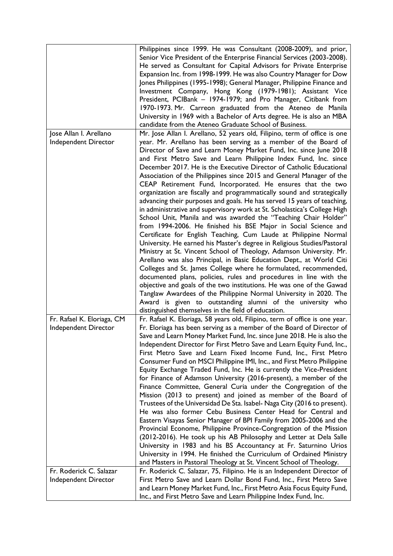|                                                    | Philippines since 1999. He was Consultant (2008-2009), and prior,<br>Senior Vice President of the Enterprise Financial Services (2003-2008).<br>He served as Consultant for Capital Advisors for Private Enterprise<br>Expansion Inc. from 1998-1999. He was also Country Manager for Dow<br>Jones Philippines (1995-1998); General Manager, Philippine Finance and<br>Investment Company, Hong Kong (1979-1981); Assistant Vice<br>President, PCIBank - 1974-1979; and Pro Manager, Citibank from<br>1970-1973. Mr. Carreon graduated from the Ateneo de Manila<br>University in 1969 with a Bachelor of Arts degree. He is also an MBA<br>candidate from the Ateneo Graduate School of Business.                                                                                                                                                                                                                                                                                                                                                                                                                                                                                                                                                                                                                       |
|----------------------------------------------------|--------------------------------------------------------------------------------------------------------------------------------------------------------------------------------------------------------------------------------------------------------------------------------------------------------------------------------------------------------------------------------------------------------------------------------------------------------------------------------------------------------------------------------------------------------------------------------------------------------------------------------------------------------------------------------------------------------------------------------------------------------------------------------------------------------------------------------------------------------------------------------------------------------------------------------------------------------------------------------------------------------------------------------------------------------------------------------------------------------------------------------------------------------------------------------------------------------------------------------------------------------------------------------------------------------------------------|
| Jose Allan I. Arellano<br>Independent Director     | Mr. Jose Allan I. Arellano, 52 years old, Filipino, term of office is one<br>year. Mr. Arellano has been serving as a member of the Board of<br>Director of Save and Learn Money Market Fund, Inc. since June 2018<br>and First Metro Save and Learn Philippine Index Fund, Inc. since<br>December 2017. He is the Executive Director of Catholic Educational<br>Association of the Philippines since 2015 and General Manager of the<br>CEAP Retirement Fund, Incorporated. He ensures that the two<br>organization are fiscally and programmatically sound and strategically<br>advancing their purposes and goals. He has served 15 years of teaching,<br>in administrative and supervisory work at St. Scholastica's College High<br>School Unit, Manila and was awarded the "Teaching Chair Holder"                                                                                                                                                                                                                                                                                                                                                                                                                                                                                                                 |
|                                                    | from 1994-2006. He finished his BSE Major in Social Science and<br>Certificate for English Teaching, Cum Laude at Philippine Normal<br>University. He earned his Master's degree in Religious Studies/Pastoral<br>Ministry at St. Vincent School of Theology, Adamson University. Mr.<br>Arellano was also Principal, in Basic Education Dept., at World Citi<br>Colleges and St. James College where he formulated, recommended,<br>documented plans, policies, rules and procedures in line with the<br>objective and goals of the two institutions. He was one of the Gawad<br>Tanglaw Awardees of the Philippine Normal University in 2020. The<br>Award is given to outstanding alumni of the university who<br>distinguished themselves in the field of education.                                                                                                                                                                                                                                                                                                                                                                                                                                                                                                                                                 |
| Fr. Rafael K. Eloriaga, CM<br>Independent Director | Fr. Rafael K. Eloriaga, 58 years old, Filipino, term of office is one year.<br>Fr. Eloriaga has been serving as a member of the Board of Director of<br>Save and Learn Money Market Fund, Inc. since June 2018. He is also the<br>Independent Director for First Metro Save and Learn Equity Fund, Inc.,<br>First Metro Save and Learn Fixed Income Fund, Inc., First Metro<br>Consumer Fund on MSCI Philippine IMI, Inc., and First Metro Philippine<br>Equity Exchange Traded Fund, Inc. He is currently the Vice-President<br>for Finance of Adamson University (2016-present), a member of the<br>Finance Committee, General Curia under the Congregation of the<br>Mission (2013 to present) and joined as member of the Board of<br>Trustees of the Universidad De Sta. Isabel- Naga City (2016 to present).<br>He was also former Cebu Business Center Head for Central and<br>Eastern Visayas Senior Manager of BPI Family from 2005-2006 and the<br>Provincial Econome, Philippine Province-Congregation of the Mission<br>(2012-2016). He took up his AB Philosophy and Letter at Dela Salle<br>University in 1983 and his BS Accountancy at Fr. Saturnino Urios<br>University in 1994. He finished the Curriculum of Ordained Ministry<br>and Masters in Pastoral Theology at St. Vincent School of Theology. |
| Fr. Roderick C. Salazar<br>Independent Director    | Fr. Roderick C. Salazar, 75, Filipino. He is an Independent Director of<br>First Metro Save and Learn Dollar Bond Fund, Inc., First Metro Save                                                                                                                                                                                                                                                                                                                                                                                                                                                                                                                                                                                                                                                                                                                                                                                                                                                                                                                                                                                                                                                                                                                                                                           |
|                                                    | and Learn Money Market Fund, Inc., First Metro Asia Focus Equity Fund,<br>Inc., and First Metro Save and Learn Philippine Index Fund, Inc.                                                                                                                                                                                                                                                                                                                                                                                                                                                                                                                                                                                                                                                                                                                                                                                                                                                                                                                                                                                                                                                                                                                                                                               |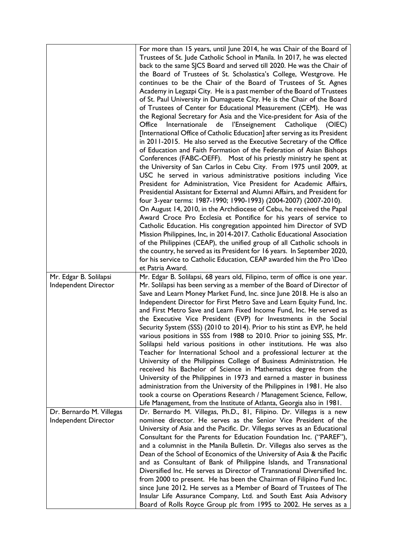|                                                  | For more than 15 years, until June 2014, he was Chair of the Board of<br>Trustees of St. Jude Catholic School in Manila. In 2017, he was elected<br>back to the same SJCS Board and served till 2020. He was the Chair of<br>the Board of Trustees of St. Scholastica's College, Westgrove. He<br>continues to be the Chair of the Board of Trustees of St. Agnes<br>Academy in Legazpi City. He is a past member of the Board of Trustees<br>of St. Paul University in Dumaguete City. He is the Chair of the Board<br>of Trustees of Center for Educational Measurement (CEM). He was<br>the Regional Secretary for Asia and the Vice-president for Asia of the<br>Office<br>Internationale de l'Enseignement Catholique<br>(OIEC)<br>[International Office of Catholic Education] after serving as its President<br>in 2011-2015. He also served as the Executive Secretary of the Office<br>of Education and Faith Formation of the Federation of Asian Bishops<br>Conferences (FABC-OEFF). Most of his priestly ministry he spent at<br>the University of San Carlos in Cebu City. From 1975 until 2009, at<br>USC he served in various administrative positions including Vice<br>President for Administration, Vice President for Academic Affairs,<br>Presidential Assistant for External and Alumni Affairs, and President for<br>four 3-year terms: 1987-1990; 1990-1993) (2004-2007) (2007-2010).<br>On August 14, 2010, in the Archdiocese of Cebu, he received the Papal<br>Award Croce Pro Ecclesia et Pontifice for his years of service to<br>Catholic Education. His congregation appointed him Director of SVD<br>Mission Philippines, Inc, in 2014-2017. Catholic Educational Association<br>of the Philippines (CEAP), the unified group of all Catholic schools in<br>the country, he served as its President for 16 years. In September 2020,<br>for his service to Catholic Education, CEAP awarded him the Pro \Deo<br>et Patria Award. |
|--------------------------------------------------|-----------------------------------------------------------------------------------------------------------------------------------------------------------------------------------------------------------------------------------------------------------------------------------------------------------------------------------------------------------------------------------------------------------------------------------------------------------------------------------------------------------------------------------------------------------------------------------------------------------------------------------------------------------------------------------------------------------------------------------------------------------------------------------------------------------------------------------------------------------------------------------------------------------------------------------------------------------------------------------------------------------------------------------------------------------------------------------------------------------------------------------------------------------------------------------------------------------------------------------------------------------------------------------------------------------------------------------------------------------------------------------------------------------------------------------------------------------------------------------------------------------------------------------------------------------------------------------------------------------------------------------------------------------------------------------------------------------------------------------------------------------------------------------------------------------------------------------------------------------------------------------------------------------------------------------------------------------------|
| Mr. Edgar B. Solilapsi                           | Mr. Edgar B. Solilapsi, 68 years old, Filipino, term of office is one year.                                                                                                                                                                                                                                                                                                                                                                                                                                                                                                                                                                                                                                                                                                                                                                                                                                                                                                                                                                                                                                                                                                                                                                                                                                                                                                                                                                                                                                                                                                                                                                                                                                                                                                                                                                                                                                                                                     |
| Independent Director<br>Dr. Bernardo M. Villegas | Mr. Solilapsi has been serving as a member of the Board of Director of<br>Save and Learn Money Market Fund, Inc. since June 2018. He is also an<br>Independent Director for First Metro Save and Learn Equity Fund, Inc.<br>and First Metro Save and Learn Fixed Income Fund, Inc. He served as<br>the Executive Vice President (EVP) for Investments in the Social<br>Security System (SSS) (2010 to 2014). Prior to his stint as EVP, he held<br>various positions in SSS from 1988 to 2010. Prior to joining SSS, Mr.<br>Solilapsi held various positions in other institutions. He was also<br>Teacher for International School and a professional lecturer at the<br>University of the Philippines College of Business Administration. He<br>received his Bachelor of Science in Mathematics degree from the<br>University of the Philippines in 1973 and earned a master in business<br>administration from the University of the Philippines in 1981. He also<br>took a course on Operations Research / Management Science, Fellow,<br>Life Management, from the Institute of Atlanta, Georgia also in 1981.<br>Dr. Bernardo M. Villegas, Ph.D., 81, Filipino. Dr. Villegas is a new                                                                                                                                                                                                                                                                                                                                                                                                                                                                                                                                                                                                                                                                                                                                                                     |
| Independent Director                             | nominee director. He serves as the Senior Vice President of the                                                                                                                                                                                                                                                                                                                                                                                                                                                                                                                                                                                                                                                                                                                                                                                                                                                                                                                                                                                                                                                                                                                                                                                                                                                                                                                                                                                                                                                                                                                                                                                                                                                                                                                                                                                                                                                                                                 |
|                                                  | University of Asia and the Pacific. Dr. Villegas serves as an Educational<br>Consultant for the Parents for Education Foundation Inc. ("PAREF"),<br>and a columnist in the Manila Bulletin. Dr. Villegas also serves as the<br>Dean of the School of Economics of the University of Asia & the Pacific<br>and as Consultant of Bank of Philippine Islands, and Transnational<br>Diversified Inc. He serves as Director of Transnational Diversified Inc.<br>from 2000 to present. He has been the Chairman of Filipino Fund Inc.<br>since June 2012. He serves as a Member of Board of Trustees of The<br>Insular Life Assurance Company, Ltd. and South East Asia Advisory<br>Board of Rolls Royce Group plc from 1995 to 2002. He serves as a                                                                                                                                                                                                                                                                                                                                                                                                                                                                                                                                                                                                                                                                                                                                                                                                                                                                                                                                                                                                                                                                                                                                                                                                                 |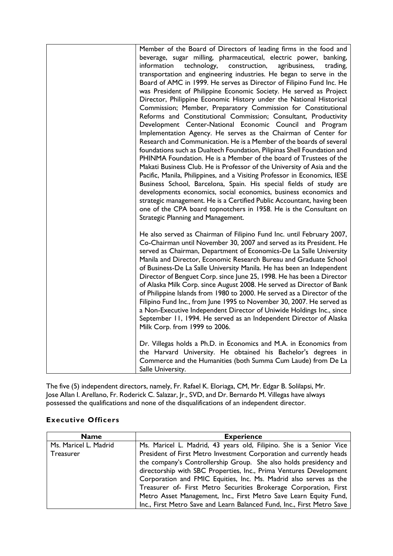| Member of the Board of Directors of leading firms in the food and                                                                             |
|-----------------------------------------------------------------------------------------------------------------------------------------------|
| beverage, sugar milling, pharmaceutical, electric power, banking,                                                                             |
| information<br>technology,<br>construction,<br>agribusiness,<br>trading,                                                                      |
| transportation and engineering industries. He began to serve in the                                                                           |
| Board of AMC in 1999. He serves as Director of Filipino Fund Inc. He                                                                          |
| was President of Philippine Economic Society. He served as Project                                                                            |
| Director, Philippine Economic History under the National Historical                                                                           |
| Commission; Member, Preparatory Commission for Constitutional                                                                                 |
| Reforms and Constitutional Commission; Consultant, Productivity                                                                               |
| Development Center-National Economic Council and Program                                                                                      |
| Implementation Agency. He serves as the Chairman of Center for                                                                                |
| Research and Communication. He is a Member of the boards of several                                                                           |
| foundations such as Dualtech Foundation, Pilipinas Shell Foundation and<br>PHINMA Foundation. He is a Member of the board of Trustees of the  |
| Makati Business Club. He is Professor of the University of Asia and the                                                                       |
| Pacific, Manila, Philippines, and a Visiting Professor in Economics, IESE                                                                     |
| Business School, Barcelona, Spain. His special fields of study are                                                                            |
| developments economics, social economics, business economics and                                                                              |
| strategic management. He is a Certified Public Accountant, having been                                                                        |
| one of the CPA board topnotchers in 1958. He is the Consultant on                                                                             |
| Strategic Planning and Management.                                                                                                            |
|                                                                                                                                               |
| He also served as Chairman of Filipino Fund Inc. until February 2007,                                                                         |
| Co-Chairman until November 30, 2007 and served as its President. He                                                                           |
| served as Chairman, Department of Economics-De La Salle University                                                                            |
| Manila and Director, Economic Research Bureau and Graduate School                                                                             |
| of Business-De La Salle University Manila. He has been an Independent                                                                         |
| Director of Benguet Corp. since June 25, 1998. He has been a Director                                                                         |
| of Alaska Milk Corp. since August 2008. He served as Director of Bank                                                                         |
| of Philippine Islands from 1980 to 2000. He served as a Director of the                                                                       |
| Filipino Fund Inc., from June 1995 to November 30, 2007. He served as<br>a Non-Executive Independent Director of Uniwide Holdings Inc., since |
| September 11, 1994. He served as an Independent Director of Alaska                                                                            |
| Milk Corp. from 1999 to 2006.                                                                                                                 |
|                                                                                                                                               |
| Dr. Villegas holds a Ph.D. in Economics and M.A. in Economics from                                                                            |
| the Harvard University. He obtained his Bachelor's degrees in                                                                                 |
| Commerce and the Humanities (both Summa Cum Laude) from De La                                                                                 |
| Salle University.                                                                                                                             |

The five (5) independent directors, namely, Fr. Rafael K. Eloriaga, CM, Mr. Edgar B. Solilapsi, Mr. Jose Allan I. Arellano, Fr. Roderick C. Salazar, Jr., SVD, and Dr. Bernardo M. Villegas have always possessed the qualifications and none of the disqualifications of an independent director.

## **Executive Officers**

| <b>Name</b>           | <b>Experience</b>                                                      |
|-----------------------|------------------------------------------------------------------------|
| Ms. Maricel L. Madrid | Ms. Maricel L. Madrid, 43 years old, Filipino. She is a Senior Vice    |
| Treasurer             | President of First Metro Investment Corporation and currently heads    |
|                       | the company's Controllership Group. She also holds presidency and      |
|                       | directorship with SBC Properties, Inc., Prima Ventures Development     |
|                       | Corporation and FMIC Equities, Inc. Ms. Madrid also serves as the      |
|                       | Treasurer of- First Metro Securities Brokerage Corporation, First      |
|                       | Metro Asset Management, Inc., First Metro Save Learn Equity Fund,      |
|                       | Inc., First Metro Save and Learn Balanced Fund, Inc., First Metro Save |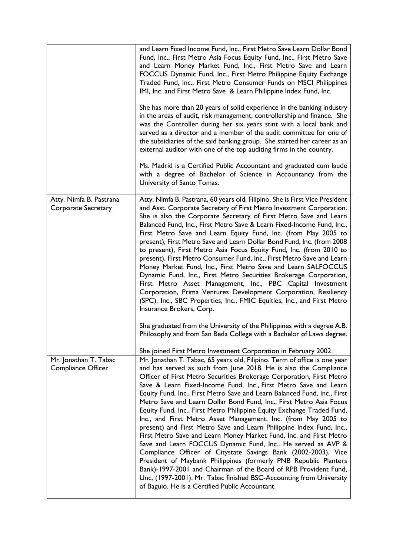|                                                | and Learn Fixed Income Fund, Inc., First Metro Save Learn Dollar Bond<br>Fund, Inc., First Metro Asia Focus Equity Fund, Inc., First Metro Save<br>and Learn Money Market Fund, Inc., First Metro Save and Learn<br>FOCCUS Dynamic Fund, Inc., First Metro Philippine Equity Exchange<br>Traded Fund, Inc., First Metro Consumer Funds on MSCI Philippines<br>IMI, Inc. and First Metro Save & Learn Philippine Index Fund, Inc.<br>She has more than 20 years of solid experience in the banking industry<br>in the areas of audit, risk management, controllership and finance. She<br>was the Controller during her six years stint with a local bank and<br>served as a director and a member of the audit committee for one of<br>the subsidiaries of the said banking group. She started her career as an<br>external auditor with one of the top auditing firms in the country.<br>Ms. Madrid is a Certified Public Accountant and graduated cum laude<br>with a degree of Bachelor of Science in Accountancy from the<br>University of Santo Tomas.                                                                                                                                                 |
|------------------------------------------------|-------------------------------------------------------------------------------------------------------------------------------------------------------------------------------------------------------------------------------------------------------------------------------------------------------------------------------------------------------------------------------------------------------------------------------------------------------------------------------------------------------------------------------------------------------------------------------------------------------------------------------------------------------------------------------------------------------------------------------------------------------------------------------------------------------------------------------------------------------------------------------------------------------------------------------------------------------------------------------------------------------------------------------------------------------------------------------------------------------------------------------------------------------------------------------------------------------------|
| Atty. Nimfa B. Pastrana<br>Corporate Secretary | Atty. Nimfa B. Pastrana, 60 years old, Filipino. She is First Vice President<br>and Asst. Corporate Secretary of First Metro Investment Corporation.<br>She is also the Corporate Secretary of First Metro Save and Learn<br>Balanced Fund, Inc., First Metro Save & Learn Fixed-Income Fund, Inc.,<br>First Metro Save and Learn Equity Fund, Inc. (from May 2005 to<br>present), First Metro Save and Learn Dollar Bond Fund, Inc. (from 2008<br>to present), First Metro Asia Focus Equity Fund, Inc. (from 2010 to<br>present), First Metro Consumer Fund, Inc., First Metro Save and Learn<br>Money Market Fund, Inc., First Metro Save and Learn SALFOCCUS<br>Dynamic Fund, Inc., First Metro Securities Brokerage Corporation,<br>First Metro Asset Management, Inc., PBC Capital Investment<br>Corporation, Prima Ventures Development Corporation, Resiliency<br>(SPC), Inc., SBC Properties, Inc., FMIC Equities, Inc., and First Metro<br>Insurance Brokers, Corp.<br>She graduated from the University of the Philippines with a degree A.B.<br>Philosophy and from San Beda College with a Bachelor of Laws degree.                                                                            |
| Mr. Jonathan T. Tabac<br>Compliance Officer    | She joined First Metro Investment Corporation in February 2002.<br>Mr. Jonathan T. Tabac, 65 years old, Filipino. Term of office is one year<br>and has served as such from June 2018. He is also the Compliance<br>Officer of First Metro Securities Brokerage Corporation, First Metro<br>Save & Learn Fixed-Income Fund, Inc., First Metro Save and Learn<br>Equity Fund, Inc., First Metro Save and Learn Balanced Fund, Inc., First<br>Metro Save and Learn Dollar Bond Fund, Inc., First Metro Asia Focus<br>Equity Fund, Inc., First Metro Philippine Equity Exchange Traded Fund,<br>Inc., and First Metro Asset Management, Inc. (from May 2005 to<br>present) and First Metro Save and Learn Philippine Index Fund, Inc.,<br>First Metro Save and Learn Money Market Fund, Inc. and First Metro<br>Save and Learn FOCCUS Dynamic Fund, Inc He served as AVP &<br>Compliance Officer of Citystate Savings Bank (2002-2003), Vice<br>President of Maybank Philippines (formerly PNB Republic Planters<br>Bank)-1997-2001 and Chairman of the Board of RPB Provident Fund,<br>Unc, (1997-2001). Mr. Tabac finished BSC-Accounting from University<br>of Baguio. He is a Certified Public Accountant. |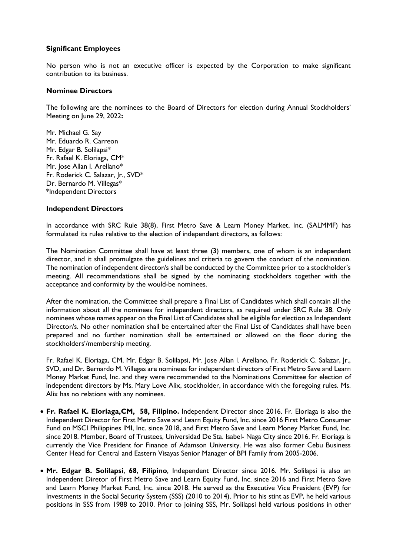### **Significant Employees**

No person who is not an executive officer is expected by the Corporation to make significant contribution to its business.

### **Nominee Directors**

The following are the nominees to the Board of Directors for election during Annual Stockholders' Meeting on June 29, 2022**:**

Mr. Michael G. Say Mr. Eduardo R. Carreon Mr. Edgar B. Solilapsi\* Fr. Rafael K. Eloriaga, CM\* Mr. Jose Allan I. Arellano\* Fr. Roderick C. Salazar, Jr., SVD\* Dr. Bernardo M. Villegas\* \*Independent Directors

### **Independent Directors**

In accordance with SRC Rule 38(8), First Metro Save & Learn Money Market, Inc. (SALMMF) has formulated its rules relative to the election of independent directors, as follows:

The Nomination Committee shall have at least three (3) members, one of whom is an independent director, and it shall promulgate the guidelines and criteria to govern the conduct of the nomination. The nomination of independent director/s shall be conducted by the Committee prior to a stockholder's meeting. All recommendations shall be signed by the nominating stockholders together with the acceptance and conformity by the would-be nominees.

After the nomination, the Committee shall prepare a Final List of Candidates which shall contain all the information about all the nominees for independent directors, as required under SRC Rule 38. Only nominees whose names appear on the Final List of Candidates shall be eligible for election as Independent Director/s. No other nomination shall be entertained after the Final List of Candidates shall have been prepared and no further nomination shall be entertained or allowed on the floor during the stockholders'/membership meeting.

Fr. Rafael K. Eloriaga, CM, Mr. Edgar B. Solilapsi, Mr. Jose Allan I. Arellano, Fr. Roderick C. Salazar, Jr., SVD, and Dr. Bernardo M. Villegas are nominees for independent directors of First Metro Save and Learn Money Market Fund, Inc. and they were recommended to the Nominations Committee for election of independent directors by Ms. Mary Love Alix, stockholder, in accordance with the foregoing rules. Ms. Alix has no relations with any nominees.

- **Fr. Rafael K. Eloriaga,CM, 58, Filipino.** Independent Director since 2016. Fr. Eloriaga is also the Independent Director for First Metro Save and Learn Equity Fund, Inc. since 2016 First Metro Consumer Fund on MSCI Philippines IMI, Inc. since 2018, and First Metro Save and Learn Money Market Fund, Inc. since 2018. Member, Board of Trustees, Universidad De Sta. Isabel- Naga City since 2016. Fr. Eloriaga is currently the Vice President for Finance of Adamson University. He was also former Cebu Business Center Head for Central and Eastern Visayas Senior Manager of BPI Family from 2005-2006.
- **Mr. Edgar B. Solilapsi**, **68**, **Filipino**, Independent Director since 2016. Mr. Solilapsi is also an Independent Diretor of First Metro Save and Learn Equity Fund, Inc. since 2016 and First Metro Save and Learn Money Market Fund, Inc. since 2018. He served as the Executive Vice President (EVP) for Investments in the Social Security System (SSS) (2010 to 2014). Prior to his stint as EVP, he held various positions in SSS from 1988 to 2010. Prior to joining SSS, Mr. Solilapsi held various positions in other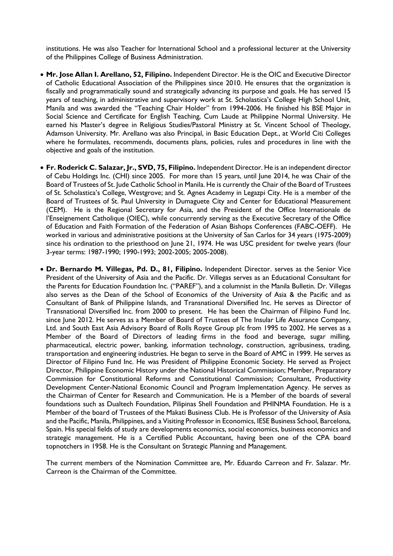institutions. He was also Teacher for International School and a professional lecturer at the University of the Philippines College of Business Administration.

- **Mr. Jose Allan I. Arellano, 52, Filipino.** Independent Director. He is the OIC and Executive Director of Catholic Educational Association of the Philippines since 2010. He ensures that the organization is fiscally and programmatically sound and strategically advancing its purpose and goals. He has served 15 years of teaching, in administrative and supervisory work at St. Scholastica's College High School Unit, Manila and was awarded the "Teaching Chair Holder" from 1994-2006. He finished his BSE Major in Social Science and Certificate for English Teaching, Cum Laude at Philippine Normal University. He earned his Master's degree in Religious Studies/Pastoral Ministry at St. Vincent School of Theology, Adamson University. Mr. Arellano was also Principal, in Basic Education Dept., at World Citi Colleges where he formulates, recommends, documents plans, policies, rules and procedures in line with the objective and goals of the institution.
- **Fr. Roderick C. Salazar, Jr., SVD, 75, Filipino.** Independent Director. He is an independent director of Cebu Holdings Inc. (CHI) since 2005. For more than 15 years, until June 2014, he was Chair of the Board of Trustees of St. Jude Catholic School in Manila. He is currently the Chair of the Board of Trustees of St. Scholastica's College, Westgrove; and St. Agnes Academy in Legazpi City. He is a member of the Board of Trustees of St. Paul University in Dumaguete City and Center for Educational Measurement (CEM). He is the Regional Secretary for Asia, and the President of the Office Internationale de l'Enseignement Catholique (OIEC), while concurrently serving as the Executive Secretary of the Office of Education and Faith Formation of the Federation of Asian Bishops Conferences (FABC-OEFF). He worked in various and administrative positions at the University of San Carlos for 34 years (1975-2009) since his ordination to the priesthood on June 21, 1974. He was USC president for twelve years (four 3-year terms: 1987-1990; 1990-1993; 2002-2005; 2005-2008).
- **Dr. Bernardo M. Villegas, Pd. D., 81, Filipino.** Independent Director. serves as the Senior Vice President of the University of Asia and the Pacific. Dr. Villegas serves as an Educational Consultant for the Parents for Education Foundation Inc. ("PAREF"), and a columnist in the Manila Bulletin. Dr. Villegas also serves as the Dean of the School of Economics of the University of Asia & the Pacific and as Consultant of Bank of Philippine Islands, and Transnational Diversified Inc. He serves as Director of Transnational Diversified Inc. from 2000 to present. He has been the Chairman of Filipino Fund Inc. since June 2012. He serves as a Member of Board of Trustees of The Insular Life Assurance Company, Ltd. and South East Asia Advisory Board of Rolls Royce Group plc from 1995 to 2002. He serves as a Member of the Board of Directors of leading firms in the food and beverage, sugar milling, pharmaceutical, electric power, banking, information technology, construction, agribusiness, trading, transportation and engineering industries. He began to serve in the Board of AMC in 1999. He serves as Director of Filipino Fund Inc. He was President of Philippine Economic Society. He served as Project Director, Philippine Economic History under the National Historical Commission; Member, Preparatory Commission for Constitutional Reforms and Constitutional Commission; Consultant, Productivity Development Center-National Economic Council and Program Implementation Agency. He serves as the Chairman of Center for Research and Communication. He is a Member of the boards of several foundations such as Dualtech Foundation, Pilipinas Shell Foundation and PHINMA Foundation. He is a Member of the board of Trustees of the Makati Business Club. He is Professor of the University of Asia and the Pacific, Manila, Philippines, and a Visiting Professor in Economics, IESE Business School, Barcelona, Spain. His special fields of study are developments economics, social economics, business economics and strategic management. He is a Certified Public Accountant, having been one of the CPA board topnotchers in 1958. He is the Consultant on Strategic Planning and Management.

The current members of the Nomination Committee are, Mr. Eduardo Carreon and Fr. Salazar. Mr. Carreon is the Chairman of the Committee.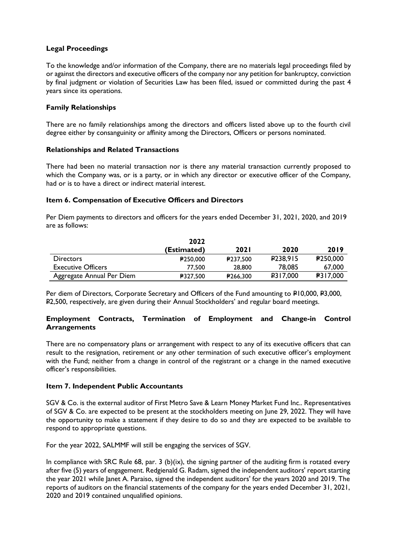## **Legal Proceedings**

To the knowledge and/or information of the Company, there are no materials legal proceedings filed by or against the directors and executive officers of the company nor any petition for bankruptcy, conviction by final judgment or violation of Securities Law has been filed, issued or committed during the past 4 years since its operations.

## **Family Relationships**

There are no family relationships among the directors and officers listed above up to the fourth civil degree either by consanguinity or affinity among the Directors, Officers or persons nominated.

### **Relationships and Related Transactions**

There had been no material transaction nor is there any material transaction currently proposed to which the Company was, or is a party, or in which any director or executive officer of the Company, had or is to have a direct or indirect material interest.

### **Item 6. Compensation of Executive Officers and Directors**

Per Diem payments to directors and officers for the years ended December 31, 2021, 2020, and 2019 are as follows:

|                           | 2022            |             |                      |                 |
|---------------------------|-----------------|-------------|----------------------|-----------------|
|                           | (Estimated)     | <b>2021</b> | 2020                 | 2019            |
| <b>Directors</b>          | <b>₽250,000</b> | ₽237.500    | P <sub>238,915</sub> | ₽250,000        |
| <b>Executive Officers</b> | 77.500          | 28,800      | 78.085               | 67,000          |
| Aggregate Annual Per Diem | ₽327,500        | ₽266,300    | <b>P317,000</b>      | <b>₽317,000</b> |

Per diem of Directors, Corporate Secretary and Officers of the Fund amounting to P10,000, P3,000, P2,500, respectively, are given during their Annual Stockholders' and regular board meetings.

### **Employment Contracts, Termination of Employment and Change-in Control Arrangements**

There are no compensatory plans or arrangement with respect to any of its executive officers that can result to the resignation, retirement or any other termination of such executive officer's employment with the Fund; neither from a change in control of the registrant or a change in the named executive officer's responsibilities.

### **Item 7. Independent Public Accountants**

SGV & Co. is the external auditor of First Metro Save & Learn Money Market Fund Inc.. Representatives of SGV & Co. are expected to be present at the stockholders meeting on June 29, 2022. They will have the opportunity to make a statement if they desire to do so and they are expected to be available to respond to appropriate questions.

For the year 2022, SALMMF will still be engaging the services of SGV.

In compliance with SRC Rule 68, par. 3 (b)(ix), the signing partner of the auditing firm is rotated every after five (5) years of engagement. Redgienald G. Radam, signed the independent auditors' report starting the year 2021 while Janet A. Paraiso, signed the independent auditors' for the years 2020 and 2019. The reports of auditors on the financial statements of the company for the years ended December 31, 2021, 2020 and 2019 contained unqualified opinions.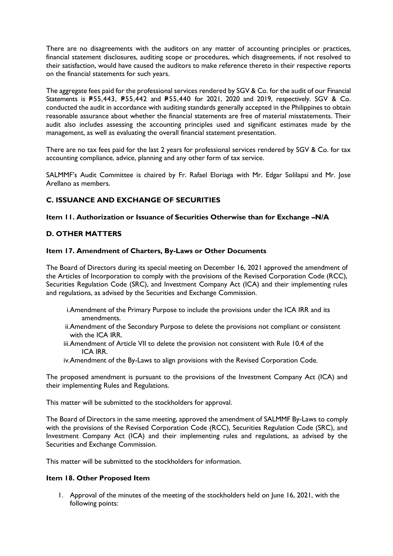There are no disagreements with the auditors on any matter of accounting principles or practices, financial statement disclosures, auditing scope or procedures, which disagreements, if not resolved to their satisfaction, would have caused the auditors to make reference thereto in their respective reports on the financial statements for such years.

The aggregate fees paid for the professional services rendered by SGV & Co. for the audit of our Financial Statements is P55,443, P55,442 and P55,440 for 2021, 2020 and 2019, respectively. SGV & Co. conducted the audit in accordance with auditing standards generally accepted in the Philippines to obtain reasonable assurance about whether the financial statements are free of material misstatements. Their audit also includes assessing the accounting principles used and significant estimates made by the management, as well as evaluating the overall financial statement presentation.

There are no tax fees paid for the last 2 years for professional services rendered by SGV & Co. for tax accounting compliance, advice, planning and any other form of tax service.

SALMMF's Audit Committee is chaired by Fr. Rafael Eloriaga with Mr. Edgar Solilapsi and Mr. Jose Arellano as members.

## **C. ISSUANCE AND EXCHANGE OF SECURITIES**

### **Item 11. Authorization or Issuance of Securities Otherwise than for Exchange –N/A**

### **D. OTHER MATTERS**

### **Item 17. Amendment of Charters, By-Laws or Other Documents**

The Board of Directors during its special meeting on December 16, 2021 approved the amendment of the Articles of Incorporation to comply with the provisions of the Revised Corporation Code (RCC), Securities Regulation Code (SRC), and Investment Company Act (ICA) and their implementing rules and regulations, as advised by the Securities and Exchange Commission.

- i.Amendment of the Primary Purpose to include the provisions under the ICA IRR and its amendments.
- ii.Amendment of the Secondary Purpose to delete the provisions not compliant or consistent with the ICA IRR.
- iii.Amendment of Article VII to delete the provision not consistent with Rule 10.4 of the ICA IRR.
- iv.Amendment of the By-Laws to align provisions with the Revised Corporation Code.

The proposed amendment is pursuant to the provisions of the Investment Company Act (ICA) and their implementing Rules and Regulations.

This matter will be submitted to the stockholders for approval.

The Board of Directors in the same meeting, approved the amendment of SALMMF By-Laws to comply with the provisions of the Revised Corporation Code (RCC), Securities Regulation Code (SRC), and Investment Company Act (ICA) and their implementing rules and regulations, as advised by the Securities and Exchange Commission.

This matter will be submitted to the stockholders for information.

### **Item 18. Other Proposed Item**

1. Approval of the minutes of the meeting of the stockholders held on June 16, 2021, with the following points: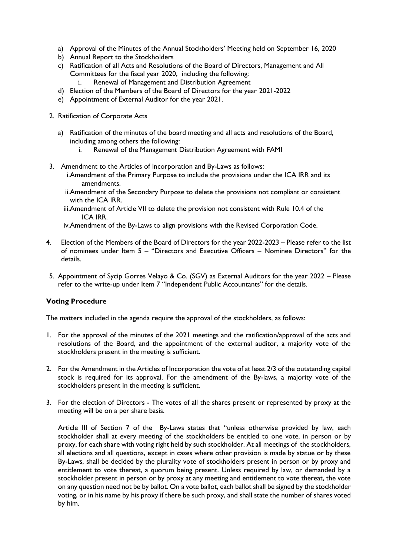- a) Approval of the Minutes of the Annual Stockholders' Meeting held on September 16, 2020
- b) Annual Report to the Stockholders
- c) Ratification of all Acts and Resolutions of the Board of Directors, Management and All Committees for the fiscal year 2020, including the following:
	- Renewal of Management and Distribution Agreement
- d) Election of the Members of the Board of Directors for the year 2021-2022
- e) Appointment of External Auditor for the year 2021.
- 2. Ratification of Corporate Acts
	- a) Ratification of the minutes of the board meeting and all acts and resolutions of the Board, including among others the following:
		- i. Renewal of the Management Distribution Agreement with FAMI
- 3. Amendment to the Articles of Incorporation and By-Laws as follows: i.Amendment of the Primary Purpose to include the provisions under the ICA IRR and its amendments.
	- ii.Amendment of the Secondary Purpose to delete the provisions not compliant or consistent with the ICA IRR.
	- iii.Amendment of Article VII to delete the provision not consistent with Rule 10.4 of the ICA IRR.
	- iv.Amendment of the By-Laws to align provisions with the Revised Corporation Code.
- 4. Election of the Members of the Board of Directors for the year 2022-2023 Please refer to the list of nominees under Item 5 – "Directors and Executive Officers – Nominee Directors" for the details.
- 5. Appointment of Sycip Gorres Velayo & Co. (SGV) as External Auditors for the year 2022 Please refer to the write-up under Item 7 "Independent Public Accountants" for the details.

## **Voting Procedure**

The matters included in the agenda require the approval of the stockholders, as follows:

- 1. For the approval of the minutes of the 2021 meetings and the ratification/approval of the acts and resolutions of the Board, and the appointment of the external auditor, a majority vote of the stockholders present in the meeting is sufficient.
- 2. For the Amendment in the Articles of Incorporation the vote of at least 2/3 of the outstanding capital stock is required for its approval. For the amendment of the By-laws, a majority vote of the stockholders present in the meeting is sufficient.
- 3. For the election of Directors The votes of all the shares present or represented by proxy at the meeting will be on a per share basis.

Article III of Section 7 of the By-Laws states that "unless otherwise provided by law, each stockholder shall at every meeting of the stockholders be entitled to one vote, in person or by proxy, for each share with voting right held by such stockholder. At all meetings of the stockholders, all elections and all questions, except in cases where other provision is made by statue or by these By-Laws, shall be decided by the plurality vote of stockholders present in person or by proxy and entitlement to vote thereat, a quorum being present. Unless required by law, or demanded by a stockholder present in person or by proxy at any meeting and entitlement to vote thereat, the vote on any question need not be by ballot. On a vote ballot, each ballot shall be signed by the stockholder voting, or in his name by his proxy if there be such proxy, and shall state the number of shares voted by him.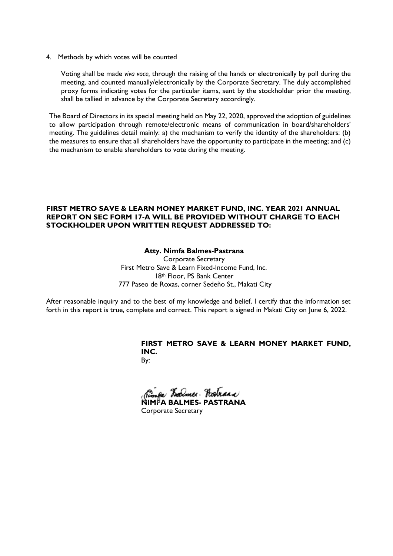4. Methods by which votes will be counted

Voting shall be made *viva voce,* through the raising of the hands or electronically by poll during the meeting, and counted manually/electronically by the Corporate Secretary. The duly accomplished proxy forms indicating votes for the particular items, sent by the stockholder prior the meeting, shall be tallied in advance by the Corporate Secretary accordingly.

The Board of Directors in its special meeting held on May 22, 2020, approved the adoption of guidelines to allow participation through remote/electronic means of communication in board/shareholders' meeting. The guidelines detail mainly: a) the mechanism to verify the identity of the shareholders: (b) the measures to ensure that all shareholders have the opportunity to participate in the meeting; and (c) the mechanism to enable shareholders to vote during the meeting.

### **FIRST METRO SAVE & LEARN MONEY MARKET FUND, INC. YEAR 2021 ANNUAL REPORT ON SEC FORM 17-A WILL BE PROVIDED WITHOUT CHARGE TO EACH STOCKHOLDER UPON WRITTEN REQUEST ADDRESSED TO:**

### **Atty. Nimfa Balmes-Pastrana**

Corporate Secretary First Metro Save & Learn Fixed-Income Fund, Inc. 18th Floor, PS Bank Center 777 Paseo de Roxas, corner Sedeño St., Makati City

After reasonable inquiry and to the best of my knowledge and belief, I certify that the information set forth in this report is true, complete and correct. This report is signed in Makati City on June 6, 2022.

# **FIRST METRO SAVE & LEARN MONEY MARKET FUND, INC.**

By:

**NIMFA BALMES- PASTRANA** 

Corporate Secretary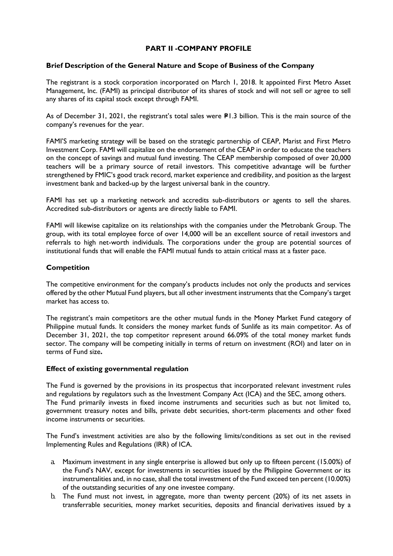## **PART II -COMPANY PROFILE**

### **Brief Description of the General Nature and Scope of Business of the Company**

The registrant is a stock corporation incorporated on March 1, 2018. It appointed First Metro Asset Management, Inc. (FAMI) as principal distributor of its shares of stock and will not sell or agree to sell any shares of its capital stock except through FAMI.

As of December 31, 2021, the registrant's total sales were  $P1.3$  billion. This is the main source of the company's revenues for the year.

FAMI'S marketing strategy will be based on the strategic partnership of CEAP, Marist and First Metro Investment Corp. FAMI will capitalize on the endorsement of the CEAP in order to educate the teachers on the concept of savings and mutual fund investing. The CEAP membership composed of over 20,000 teachers will be a primary source of retail investors. This competitive advantage will be further strengthened by FMIC's good track record, market experience and credibility, and position as the largest investment bank and backed-up by the largest universal bank in the country.

FAMI has set up a marketing network and accredits sub-distributors or agents to sell the shares. Accredited sub-distributors or agents are directly liable to FAMI.

FAMI will likewise capitalize on its relationships with the companies under the Metrobank Group. The group, with its total employee force of over 14,000 will be an excellent source of retail investors and referrals to high net-worth individuals. The corporations under the group are potential sources of institutional funds that will enable the FAMI mutual funds to attain critical mass at a faster pace.

### **Competition**

The competitive environment for the company's products includes not only the products and services offered by the other Mutual Fund players, but all other investment instruments that the Company's target market has access to.

The registrant's main competitors are the other mutual funds in the Money Market Fund category of Philippine mutual funds. It considers the money market funds of Sunlife as its main competitor. As of December 31, 2021, the top competitor represent around 66.09% of the total money market funds sector. The company will be competing initially in terms of return on investment (ROI) and later on in terms of Fund size**.** 

### **Effect of existing governmental regulation**

The Fund is governed by the provisions in its prospectus that incorporated relevant investment rules and regulations by regulators such as the Investment Company Act (ICA) and the SEC, among others. The Fund primarily invests in fixed income instruments and securities such as but not limited to, government treasury notes and bills, private debt securities, short-term placements and other fixed income instruments or securities.

The Fund's investment activities are also by the following limits/conditions as set out in the revised Implementing Rules and Regulations (IRR) of ICA.

- a. Maximum investment in any single enterprise is allowed but only up to fifteen percent (15.00%) of the Fund's NAV, except for investments in securities issued by the Philippine Government or its instrumentalities and, in no case, shall the total investment of the Fund exceed ten percent (10.00%) of the outstanding securities of any one investee company.
- b. The Fund must not invest, in aggregate, more than twenty percent (20%) of its net assets in transferrable securities, money market securities, deposits and financial derivatives issued by a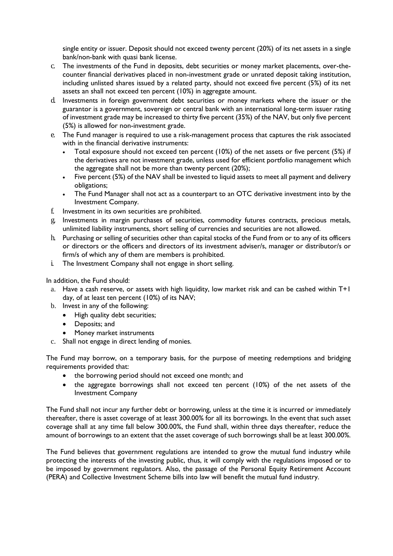single entity or issuer. Deposit should not exceed twenty percent (20%) of its net assets in a single bank/non-bank with quasi bank license.

- c. The investments of the Fund in deposits, debt securities or money market placements, over-thecounter financial derivatives placed in non-investment grade or unrated deposit taking institution, including unlisted shares issued by a related party, should not exceed five percent (5%) of its net assets an shall not exceed ten percent (10%) in aggregate amount.
- d. Investments in foreign government debt securities or money markets where the issuer or the guarantor is a government, sovereign or central bank with an international long-term issuer rating of investment grade may be increased to thirty five percent (35%) of the NAV, but only five percent (5%) is allowed for non-investment grade.
- e. The Fund manager is required to use a risk-management process that captures the risk associated with in the financial derivative instruments:
	- Total exposure should not exceed ten percent (10%) of the net assets or five percent (5%) if the derivatives are not investment grade, unless used for efficient portfolio management which the aggregate shall not be more than twenty percent (20%);
	- Five percent (5%) of the NAV shall be invested to liquid assets to meet all payment and delivery obligations;
	- The Fund Manager shall not act as a counterpart to an OTC derivative investment into by the Investment Company.
- f. Investment in its own securities are prohibited.
- g. Investments in margin purchases of securities, commodity futures contracts, precious metals, unlimited liability instruments, short selling of currencies and securities are not allowed.
- h. Purchasing or selling of securities other than capital stocks of the Fund from or to any of its officers or directors or the officers and directors of its investment adviser/s, manager or distributor/s or firm/s of which any of them are members is prohibited.
- i. The Investment Company shall not engage in short selling.

In addition, the Fund should:

- a. Have a cash reserve, or assets with high liquidity, low market risk and can be cashed within T+1 day, of at least ten percent (10%) of its NAV;
- b. Invest in any of the following:
	- High quality debt securities;
	- Deposits; and
	- Money market instruments
- c. Shall not engage in direct lending of monies.

The Fund may borrow, on a temporary basis, for the purpose of meeting redemptions and bridging requirements provided that:

- the borrowing period should not exceed one month; and
- the aggregate borrowings shall not exceed ten percent (10%) of the net assets of the Investment Company

The Fund shall not incur any further debt or borrowing, unless at the time it is incurred or immediately thereafter, there is asset coverage of at least 300.00% for all its borrowings. In the event that such asset coverage shall at any time fall below 300.00%, the Fund shall, within three days thereafter, reduce the amount of borrowings to an extent that the asset coverage of such borrowings shall be at least 300.00%.

The Fund believes that government regulations are intended to grow the mutual fund industry while protecting the interests of the investing public, thus, it will comply with the regulations imposed or to be imposed by government regulators. Also, the passage of the Personal Equity Retirement Account (PERA) and Collective Investment Scheme bills into law will benefit the mutual fund industry.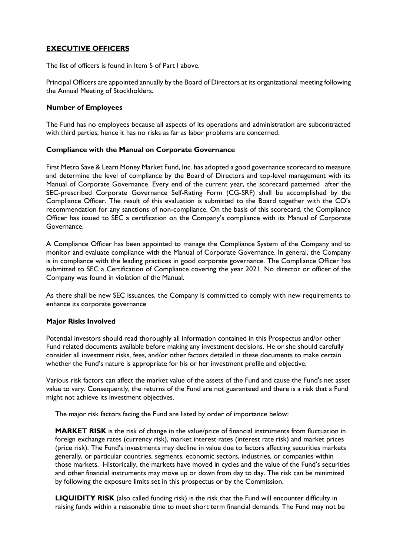## **EXECUTIVE OFFICERS**

The list of officers is found in Item 5 of Part I above.

Principal Officers are appointed annually by the Board of Directors at its organizational meeting following the Annual Meeting of Stockholders.

### **Number of Employees**

The Fund has no employees because all aspects of its operations and administration are subcontracted with third parties; hence it has no risks as far as labor problems are concerned.

### **Compliance with the Manual on Corporate Governance**

First Metro Save & Learn Money Market Fund, Inc. has adopted a good governance scorecard to measure and determine the level of compliance by the Board of Directors and top-level management with its Manual of Corporate Governance. Every end of the current year, the scorecard patterned after the SEC-prescribed Corporate Governance Self-Rating Form (CG-SRF) shall be accomplished by the Compliance Officer. The result of this evaluation is submitted to the Board together with the CO's recommendation for any sanctions of non-compliance. On the basis of this scorecard, the Compliance Officer has issued to SEC a certification on the Company's compliance with its Manual of Corporate Governance.

A Compliance Officer has been appointed to manage the Compliance System of the Company and to monitor and evaluate compliance with the Manual of Corporate Governance. In general, the Company is in compliance with the leading practices in good corporate governance. The Compliance Officer has submitted to SEC a Certification of Compliance covering the year 2021. No director or officer of the Company was found in violation of the Manual.

As there shall be new SEC issuances, the Company is committed to comply with new requirements to enhance its corporate governance

### **Major Risks Involved**

Potential investors should read thoroughly all information contained in this Prospectus and/or other Fund related documents available before making any investment decisions. He or she should carefully consider all investment risks, fees, and/or other factors detailed in these documents to make certain whether the Fund's nature is appropriate for his or her investment profile and objective.

Various risk factors can affect the market value of the assets of the Fund and cause the Fund's net asset value to vary. Consequently, the returns of the Fund are not guaranteed and there is a risk that a Fund might not achieve its investment objectives.

The major risk factors facing the Fund are listed by order of importance below:

**MARKET RISK** is the risk of change in the value/price of financial instruments from fluctuation in foreign exchange rates (currency risk), market interest rates (interest rate risk) and market prices (price risk). The Fund's investments may decline in value due to factors affecting securities markets generally, or particular countries, segments, economic sectors, industries, or companies within those markets. Historically, the markets have moved in cycles and the value of the Fund's securities and other financial instruments may move up or down from day to day. The risk can be minimized by following the exposure limits set in this prospectus or by the Commission.

**LIQUIDITY RISK** (also called funding risk) is the risk that the Fund will encounter difficulty in raising funds within a reasonable time to meet short term financial demands. The Fund may not be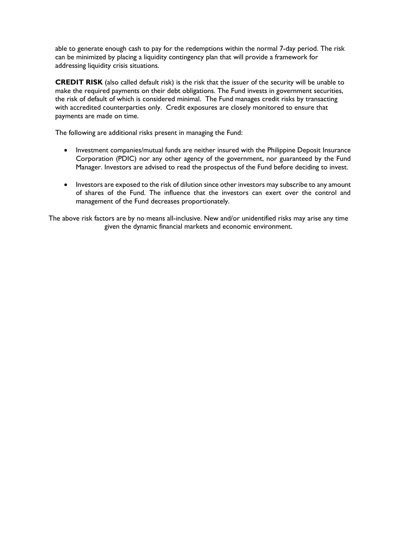able to generate enough cash to pay for the redemptions within the normal 7-day period. The risk can be minimized by placing a liquidity contingency plan that will provide a framework for addressing liquidity crisis situations.

**CREDIT RISK** (also called default risk) is the risk that the issuer of the security will be unable to make the required payments on their debt obligations. The Fund invests in government securities, the risk of default of which is considered minimal. The Fund manages credit risks by transacting with accredited counterparties only. Credit exposures are closely monitored to ensure that payments are made on time.

The following are additional risks present in managing the Fund:

- Investment companies/mutual funds are neither insured with the Philippine Deposit Insurance Corporation (PDIC) nor any other agency of the government, nor guaranteed by the Fund Manager. Investors are advised to read the prospectus of the Fund before deciding to invest.
- Investors are exposed to the risk of dilution since other investors may subscribe to any amount of shares of the Fund. The influence that the investors can exert over the control and management of the Fund decreases proportionately.

The above risk factors are by no means all-inclusive. New and/or unidentified risks may arise any time given the dynamic financial markets and economic environment.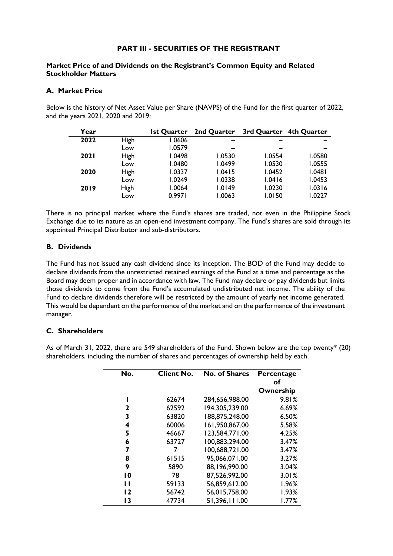## **PART III - SECURITIES OF THE REGISTRANT**

### **Market Price of and Dividends on the Registrant's Common Equity and Related Stockholder Matters**

### **A. Market Price**

Below is the history of Net Asset Value per Share (NAVPS) of the Fund for the first quarter of 2022, and the years 2021, 2020 and 2019:

| Year        |             | Ist Quarter | 2nd Quarter | 3rd Quarter 4th Quarter |        |
|-------------|-------------|-------------|-------------|-------------------------|--------|
| 2022        | High        | 1.0606      |             |                         |        |
|             | Low         | 1.0579      |             |                         |        |
| <b>2021</b> | High        | 1.0498      | 1.0530      | 1.0554                  | 1.0580 |
|             | Low         | 1.0480      | 1.0499      | 1.0530                  | 1.0555 |
| 2020        | High        | 1.0337      | 1.0415      | 1.0452                  | 1.0481 |
|             | Low         | 1.0249      | 1.0338      | 1.0416                  | 1.0453 |
| 2019        | <b>High</b> | 1.0064      | 1.0149      | 1.0230                  | 1.0316 |
|             | Low         | 0.9971      | 1.0063      | 1.0150                  | 1.0227 |

There is no principal market where the Fund's shares are traded, not even in the Philippine Stock Exchange due to its nature as an open-end investment company. The Fund's shares are sold through its appointed Principal Distributor and sub-distributors.

### **B. Dividends**

The Fund has not issued any cash dividend since its inception. The BOD of the Fund may decide to declare dividends from the unrestricted retained earnings of the Fund at a time and percentage as the Board may deem proper and in accordance with law. The Fund may declare or pay dividends but limits those dividends to come from the Fund's accumulated undistributed net income. The ability of the Fund to declare dividends therefore will be restricted by the amount of yearly net income generated. This would be dependent on the performance of the market and on the performance of the investment manager.

## **C. Shareholders**

As of March 31, 2022, there are 549 shareholders of the Fund. Shown below are the top twenty\* (20) shareholders, including the number of shares and percentages of ownership held by each.

| No.             | <b>Client No.</b> | <b>No. of Shares</b> | Percentage<br>оf |
|-----------------|-------------------|----------------------|------------------|
|                 |                   |                      | Ownership        |
|                 | 62674             | 284,656,988.00       | 9.81%            |
| 2               | 62592             | 194,305,239.00       | 6.69%            |
| 3               | 63820             | 188,875,248.00       | 6.50%            |
| 4               | 60006             | 161,950,867.00       | 5.58%            |
| 5               | 46667             | 123,584,771.00       | 4.25%            |
| 6               | 63727             | 100,883,294.00       | 3.47%            |
| 7               | 7                 | 100,688,721.00       | 3.47%            |
| 8               | 61515             | 95,066,071.00        | 3.27%            |
| 9               | 5890              | 88,196,990.00        | 3.04%            |
| $\overline{10}$ | 78                | 87,526,992.00        | 3.01%            |
| п               | 59133             | 56,859,612.00        | 1.96%            |
| 12              | 56742             | 56,015,758.00        | 1.93%            |
| 13              | 47734             | 51,396,111.00        | 1.77%            |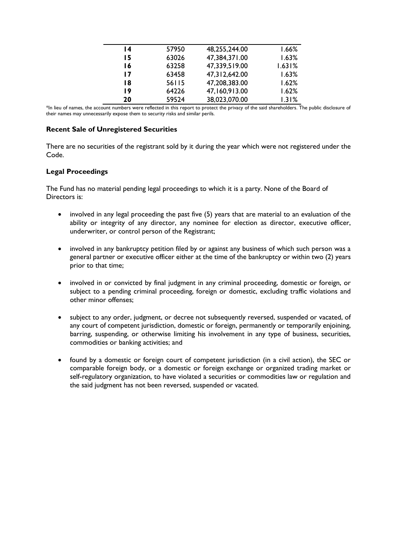| 14 | 57950 | 48,255,244.00 | 1.66%  |
|----|-------|---------------|--------|
| 15 | 63026 | 47,384,371.00 | 1.63%  |
| 16 | 63258 | 47,339,519.00 | 1.631% |
| 17 | 63458 | 47,312,642.00 | 1.63%  |
| 18 | 56115 | 47,208,383.00 | 1.62%  |
| 19 | 64226 | 47,160,913.00 | 1.62%  |
| 20 | 59524 | 38,023,070.00 | 1.31%  |
|    |       |               |        |

\*In lieu of names, the account numbers were reflected in this report to protect the privacy of the said shareholders. The public disclosure of their names may unnecessarily expose them to security risks and similar perils.

## **Recent Sale of Unregistered Securities**

There are no securities of the registrant sold by it during the year which were not registered under the Code.

## **Legal Proceedings**

The Fund has no material pending legal proceedings to which it is a party. None of the Board of Directors is:

- involved in any legal proceeding the past five (5) years that are material to an evaluation of the ability or integrity of any director, any nominee for election as director, executive officer, underwriter, or control person of the Registrant;
- involved in any bankruptcy petition filed by or against any business of which such person was a general partner or executive officer either at the time of the bankruptcy or within two (2) years prior to that time;
- involved in or convicted by final judgment in any criminal proceeding, domestic or foreign, or subject to a pending criminal proceeding, foreign or domestic, excluding traffic violations and other minor offenses;
- subject to any order, judgment, or decree not subsequently reversed, suspended or vacated, of any court of competent jurisdiction, domestic or foreign, permanently or temporarily enjoining, barring, suspending, or otherwise limiting his involvement in any type of business, securities, commodities or banking activities; and
- found by a domestic or foreign court of competent jurisdiction (in a civil action), the SEC or comparable foreign body, or a domestic or foreign exchange or organized trading market or self-regulatory organization, to have violated a securities or commodities law or regulation and the said judgment has not been reversed, suspended or vacated.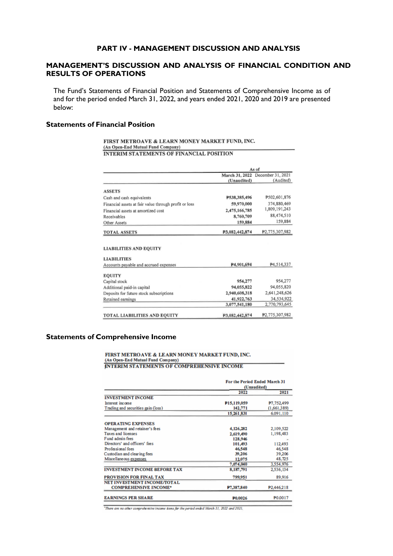### **PART IV - MANAGEMENT DISCUSSION AND ANALYSIS**

### **MANAGEMENT'S DISCUSSION AND ANALYSIS OF FINANCIAL CONDITION AND RESULTS OF OPERATIONS**

The Fund's Statements of Financial Position and Statements of Comprehensive Income as of and for the period ended March 31, 2022, and years ended 2021, 2020 and 2019 are presented below:

#### **Statements of Financial Position**

#### FIRST METROAVE & LEARN MONEY MARKET FUND, INC. (An Open-End Mutual Fund Company) **INTERIM STATEMENTS OF FINANCIAL POSITION**

|                                                             | As of          |                                  |  |
|-------------------------------------------------------------|----------------|----------------------------------|--|
|                                                             |                | March 31, 2022 December 31, 2021 |  |
|                                                             | (Unaudited)    | (Audited)                        |  |
| <b>ASSETS</b>                                               |                |                                  |  |
| Cash and cash equivalents                                   | P538,385,496   | P502,601,876                     |  |
| Financial assets at fair value through profit or loss       | 59,970,000     | 374.880.469                      |  |
| Financial assets at amortized cost                          | 2,475,166,785  | 1,809,191,243                    |  |
| Receivables                                                 | 8,760,709      | 88,474,510                       |  |
| Other Assets                                                | 159.884        | 159,884                          |  |
| <b>TOTAL ASSETS</b>                                         | P3,082,442,874 | P2.775.307.982                   |  |
| <b>LIABILITIES AND EQUITY</b>                               |                |                                  |  |
|                                                             |                |                                  |  |
| <b>LIABILITIES</b><br>Accounts payable and accrued expenses | P4.901.694     | P4.514.337                       |  |
|                                                             |                |                                  |  |
| <b>EQUITY</b>                                               | 954,277        | 954,277                          |  |
| Capital stock<br>Additional paid-in capital                 | 94,055,822     | 94,055,820                       |  |
| Deposits for future stock subscriptions                     | 2,940,608,318  | 2,641,248,626                    |  |
| Retained earnings                                           | 41,922,763     |                                  |  |
|                                                             | 3,077,541,180  | 34.534,922<br>2,770,793,645      |  |

#### **Statements of Comprehensive Income**

# FIRST METROAVE & LEARN MONEY MARKET FUND, INC.<br>(An Open-End Mutual Fund Company) **INTERIM STATEMENTS OF COMPREHENSIVE INCOME**

|                                     | For the Period Ended March 31<br>(Unaudited) |             |
|-------------------------------------|----------------------------------------------|-------------|
|                                     | 2022                                         | 2021        |
| <b>INVESTMENT INCOME</b>            |                                              |             |
| Interest income                     | P <sub>15</sub> ,119,059                     | P7,752,499  |
| Trading and securities gain (loss)  | 142,771                                      | (1,661,389) |
|                                     | 15, 261, 831                                 | 6.091.110   |
| <b>OPERATING EXPENSES</b>           |                                              |             |
| Management and retainer's fees      | 4,126,282                                    | 2,109,522   |
| <b>Taxes and licenses</b>           | 2,619,490                                    | 1,198,483   |
| Fund admin fees                     | 128,946                                      |             |
| Directors' and officers' fees       | 101,493                                      | 112,493     |
| Professional fees                   | 46,548                                       | 46,548      |
| Custodian and clearing fees         | 39,206                                       | 39,206      |
| Miscellaneous expenses              | 12,075                                       | 48,725      |
|                                     | 7,074,040                                    | 3.554.976   |
| <b>INVESTMENT INCOME BEFORE TAX</b> | 8,187,791                                    | 2,536,134   |
| <b>PROVISION FOR FINAL TAX</b>      | 799,951                                      | 89,916      |
| NET INVESTMENT INCOME/TOTAL         |                                              |             |
| <b>COMPREHENSIVE INCOME*</b>        | P7.387.840                                   | P2.446.218  |
| <b>EARNINGS PER SHARE</b>           | P0.0026                                      | P0.0017     |

"There are no other comprehensive income items for the period ended March 31, 2022 and 2021.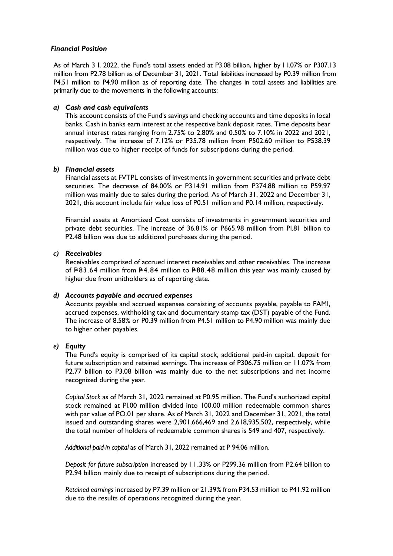### *Financial Position*

As of March 3 I, 2022, the Fund's total assets ended at P3.08 billion, higher by I I.07% or P307.13 million from P2.78 billion as of December 31, 2021. Total liabilities increased by P0.39 million from P4.51 million to P4.90 million as of reporting date. The changes in total assets and liabilities are primarily due to the movements in the following accounts:

### *a) Cash and cash equivalents*

This account consists of the Fund's savings and checking accounts and time deposits in local banks. Cash in banks earn interest at the respective bank deposit rates. Time deposits bear annual interest rates ranging from 2.75% to 2.80% and 0.50% to 7.10% in 2022 and 2021, respectively. The increase of 7.12% or P35.78 million from P502.60 million to P538.39 million was due to higher receipt of funds for subscriptions during the period.

### *b) Financial assets*

Financial assets at FVTPL consists of investments in government securities and private debt securities. The decrease of 84.00% or P314.91 million from P374.88 million to P59.97 million was mainly due to sales during the period. As of March 31, 2022 and December 31, 2021, this account include fair value loss of P0.51 million and P0.14 million, respectively.

Financial assets at Amortized Cost consists of investments in government securities and private debt securities. The increase of 36.81% or P665.98 million from Pl.81 billion to P2.48 billion was due to additional purchases during the period.

### *c) Receivables*

Receivables comprised of accrued interest receivables and other receivables. The increase of  $P83.64$  million from P4.84 million to P88.48 million this year was mainly caused by higher due from unitholders as of reporting date.

### *d) Accounts payable and accrued expenses*

Accounts payable and accrued expenses consisting of accounts payable, payable to FAMI, accrued expenses, withholding tax and documentary stamp tax (DST) payable of the Fund. The increase of 8.58% or P0.39 million from P4.51 million to P4.90 million was mainly due to higher other payables.

### *e) Equity*

The Fund's equity is comprised of its capital stock, additional paid-in capital, deposit for future subscription and retained earnings. The increase of P306.75 million or 11.07% from P2.77 billion to P3.08 billion was mainly due to the net subscriptions and net income recognized during the year.

*Capital Stock* as of March 31, 2022 remained at P0.95 million. The Fund's authorized capital stock remained at Pl.00 million divided into 100.00 million redeemable common shares with par value of PO.01 per share. As of March 31, 2022 and December 31, 2021, the total issued and outstanding shares were 2,901,666,469 and 2,618,935,502, respectively, while the total number of holders of redeemable common shares is 549 and 407, respectively.

*Additional paid-in capital* as of March 31, 2022 remained at P 94.06 million.

*Deposit for future subscription* increased by I I .33% or P299.36 million from P2.64 billion to P2.94 billion mainly due to receipt of subscriptions during the period.

*Retained earnings* increased by P7.39 million or 21.39% from P34.53 million to P41.92 million due to the results of operations recognized during the year.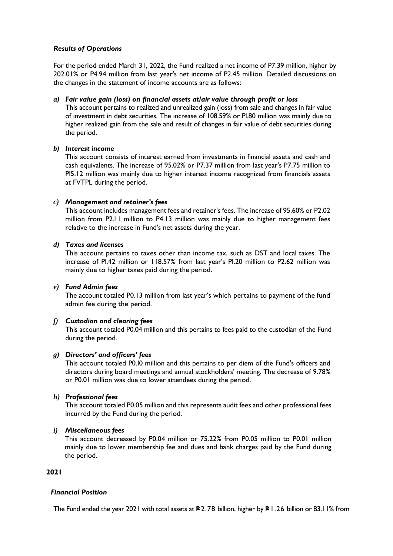### *Results of Operations*

For the period ended March 31, 2022, the Fund realized a net income of P7.39 million, higher by 202.01% or P4.94 million from last year's net income of P2.45 million. Detailed discussions on the changes in the statement of income accounts are as follows:

### *a) Fair value gain (loss) on financial assets at/air value through profit or loss*

This account pertains to realized and unrealized gain (loss) from sale and changes in fair value of investment in debt securities. The increase of 108.59% or Pl.80 million was mainly due to higher realized gain from the sale and result of changes in fair value of debt securities during the period.

### *b) Interest income*

This account consists of interest earned from investments in financial assets and cash and cash equivalents. The increase of 95.02% or P7.37 million from last year's P7.75 million to Pl5.12 million was mainly due to higher interest income recognized from financials assets at FVTPL during the period.

### *c) Management and retainer's fees*

This account includes management fees and retainer's fees. The increase of 95.60% or P2.02 million from P2.l l million to P4.13 million was mainly due to higher management fees relative to the increase in Fund's net assets during the year.

### *d) Taxes and licenses*

This account pertains to taxes other than income tax, such as DST and local taxes. The increase of Pl.42 million or 118.57% from last year's Pl.20 million to P2.62 million was mainly due to higher taxes paid during the period.

### *e) Fund Admin fees*

The account totaled P0.13 million from last year's which pertains to payment of the fund admin fee during the period.

### *f) Custodian and clearing fees*

This account totaled P0.04 million and this pertains to fees paid to the custodian of the Fund during the period.

### *g) Directors' and officers' fees*

This account totaled P0.I0 million and this pertains to per diem of the Fund's officers and directors during board meetings and annual stockholders' meeting. The decrease of 9.78% or P0.01 million was due to lower attendees during the period.

### *h) Professional fees*

This account totaled P0.05 million and this represents audit fees and other professional fees incurred by the Fund during the period.

### *i) Miscellaneous fees*

This account decreased by P0.04 million or 75.22% from P0.05 million to P0.01 million mainly due to lower membership fee and dues and bank charges paid by the Fund during the period.

## **2021**

### *Financial Position*

The Fund ended the year 2021 with total assets at  $P2.78$  billion, higher by P $1.26$  billion or 83.11% from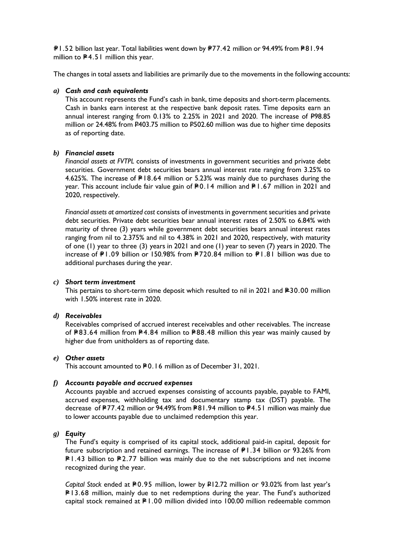P1.52 billion last year. Total liabilities went down by P77.42 million or 94.49% from P81.94 million to  $P$ 4.51 million this year.

The changes in total assets and liabilities are primarily due to the movements in the following accounts:

### *a) Cash and cash equivalents*

This account represents the Fund's cash in bank, time deposits and short-term placements. Cash in banks earn interest at the respective bank deposit rates. Time deposits earn an annual interest ranging from 0.13% to 2.25% in 2021 and 2020. The increase of P98.85 million or 24.48% from P403.75 million to P502.60 million was due to higher time deposits as of reporting date.

### *b) Financial assets*

*Financial assets at FVTPL* consists of investments in government securities and private debt securities. Government debt securities bears annual interest rate ranging from 3.25% to 4.625%. The increase of  $P18.64$  million or 5.23% was mainly due to purchases during the year. This account include fair value gain of  $R_0$ . 14 million and  $R_1$ .67 million in 2021 and 2020, respectively.

*Financial assets at amortized cost* consists of investments in government securities and private debt securities. Private debt securities bear annual interest rates of 2.50% to 6.84% with maturity of three (3) years while government debt securities bears annual interest rates ranging from nil to 2.375% and nil to 4.38% in 2021 and 2020, respectively, with maturity of one (1) year to three (3) years in 2021 and one (1) year to seven (7) years in 2020. The increase of P1.09 billion or 150.98% from P720.84 million to P1.81 billion was due to additional purchases during the year.

#### *c) Short term investment*

This pertains to short-term time deposit which resulted to nil in 2021 and  $E$ 30.00 million with 1.50% interest rate in 2020.

#### *d) Receivables*

Receivables comprised of accrued interest receivables and other receivables. The increase of  $P83.64$  million from P4.84 million to P88.48 million this year was mainly caused by higher due from unitholders as of reporting date.

#### *e) Other assets*

This account amounted to P0.16 million as of December 31, 2021.

#### *f) Accounts payable and accrued expenses*

Accounts payable and accrued expenses consisting of accounts payable, payable to FAMI, accrued expenses, withholding tax and documentary stamp tax (DST) payable. The decrease of P77.42 million or 94.49% from P81.94 million to P4.51 million was mainly due to lower accounts payable due to unclaimed redemption this year.

### *g) Equity*

The Fund's equity is comprised of its capital stock, additional paid-in capital, deposit for future subscription and retained earnings. The increase of  $\textless$  P1.34 billion or 93.26% from  $PI.43$  billion to P2.77 billion was mainly due to the net subscriptions and net income recognized during the year.

*Capital Stock* ended at P0.95 million, lower by P12.72 million or 93.02% from last year's  $PI3.68$  million, mainly due to net redemptions during the year. The Fund's authorized capital stock remained at  $P1.00$  million divided into 100.00 million redeemable common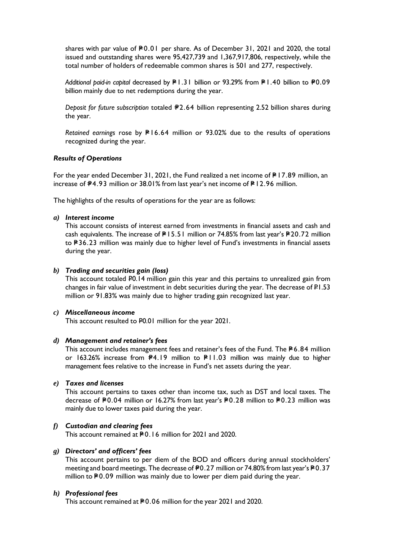shares with par value of P0.01 per share. As of December 31, 2021 and 2020, the total issued and outstanding shares were 95,427,739 and 1,367,917,806, respectively, while the total number of holders of redeemable common shares is 501 and 277, respectively.

*Additional paid-in capital* decreased by  $P1.31$  billion or 93.29% from P $1.40$  billion to  $P0.09$ billion mainly due to net redemptions during the year.

*Deposit for future subscription totaled #2.64 billion representing 2.52 billion shares during* the year.

*Retained earnings rose by P* 16.64 million or 93.02% due to the results of operations recognized during the year.

### *Results of Operations*

For the year ended December 31, 2021, the Fund realized a net income of  $P17.89$  million, an increase of  $\textsf{\#4.93}$  million or 38.01% from last year's net income of  $\textsf{\#12.96}$  million.

The highlights of the results of operations for the year are as follows:

#### *a) Interest income*

This account consists of interest earned from investments in financial assets and cash and cash equivalents. The increase of  $P15.51$  million or 74.85% from last year's P20.72 million to P36.23 million was mainly due to higher level of Fund's investments in financial assets during the year.

#### *b) Trading and securities gain (loss)*

This account totaled P0.14 million gain this year and this pertains to unrealized gain from changes in fair value of investment in debt securities during the year. The decrease of P1.53 million or 91.83% was mainly due to higher trading gain recognized last year.

#### *c) Miscellaneous income*

This account resulted to P0.01 million for the year 2021.

#### *d) Management and retainer's fees*

This account includes management fees and retainer's fees of the Fund. The  $P$  6.84 million or 163.26% increase from  $\blacktriangleright$ 4.19 million to  $\blacktriangleright$ 11.03 million was mainly due to higher management fees relative to the increase in Fund's net assets during the year.

#### *e) Taxes and licenses*

This account pertains to taxes other than income tax, such as DST and local taxes. The decrease of P0.04 million or 16.27% from last year's P0.28 million to P0.23 million was mainly due to lower taxes paid during the year.

### *f) Custodian and clearing fees*

This account remained at P0.16 million for 2021 and 2020.

### *g) Directors' and officers' fees*

This account pertains to per diem of the BOD and officers during annual stockholders' meeting and board meetings. The decrease of  $\text{\texttt{P}}0.27$  million or 74.80% from last year's  $\text{\texttt{P}}0.37$ million to  $P$ 0.09 million was mainly due to lower per diem paid during the year.

#### *h) Professional fees*

This account remained at P0.06 million for the year 2021 and 2020.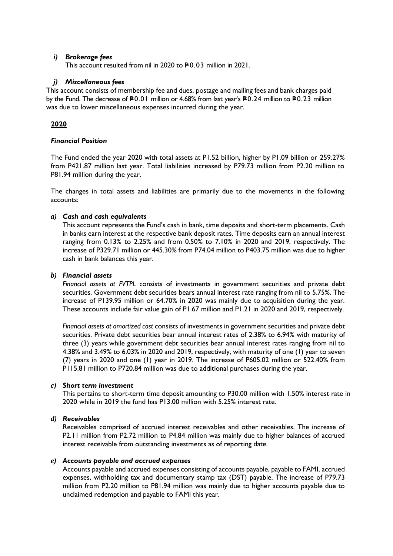### *i) Brokerage fees*

This account resulted from nil in 2020 to P0.03 million in 2021.

### *j) Miscellaneous fees*

This account consists of membership fee and dues, postage and mailing fees and bank charges paid by the Fund. The decrease of P0.01 million or 4.68% from last year's P0.24 million to P0.23 million was due to lower miscellaneous expenses incurred during the year.

## **2020**

### *Financial Position*

The Fund ended the year 2020 with total assets at P1.52 billion, higher by P1.09 billion or 259.27% from P421.87 million last year. Total liabilities increased by P79.73 million from P2.20 million to P81.94 million during the year.

The changes in total assets and liabilities are primarily due to the movements in the following accounts:

### *a) Cash and cash equivalents*

This account represents the Fund's cash in bank, time deposits and short-term placements. Cash in banks earn interest at the respective bank deposit rates. Time deposits earn an annual interest ranging from 0.13% to 2.25% and from 0.50% to 7.10% in 2020 and 2019, respectively. The increase of P329.71 million or 445.30% from P74.04 million to P403.75 million was due to higher cash in bank balances this year.

### *b) Financial assets*

*Financial assets at FVTPL* consists of investments in government securities and private debt securities. Government debt securities bears annual interest rate ranging from nil to 5.75%. The increase of P139.95 million or 64.70% in 2020 was mainly due to acquisition during the year. These accounts include fair value gain of P1.67 million and P1.21 in 2020 and 2019, respectively.

*Financial assets at amortized cost* consists of investments in government securities and private debt securities. Private debt securities bear annual interest rates of 2.38% to 6.94% with maturity of three (3) years while government debt securities bear annual interest rates ranging from nil to 4.38% and 3.49% to 6.03% in 2020 and 2019, respectively, with maturity of one (1) year to seven (7) years in 2020 and one (1) year in 2019. The increase of P605.02 million or 522.40% from P115.81 million to P720.84 million was due to additional purchases during the year.

### *c) Short term investment*

This pertains to short-term time deposit amounting to P30.00 million with 1.50% interest rate in 2020 while in 2019 the fund has P13.00 million with 5.25% interest rate.

### *d) Receivables*

Receivables comprised of accrued interest receivables and other receivables. The increase of P2.11 million from P2.72 million to P4.84 million was mainly due to higher balances of accrued interest receivable from outstanding investments as of reporting date.

### *e) Accounts payable and accrued expenses*

Accounts payable and accrued expenses consisting of accounts payable, payable to FAMI, accrued expenses, withholding tax and documentary stamp tax (DST) payable. The increase of P79.73 million from P2.20 million to P81.94 million was mainly due to higher accounts payable due to unclaimed redemption and payable to FAMI this year.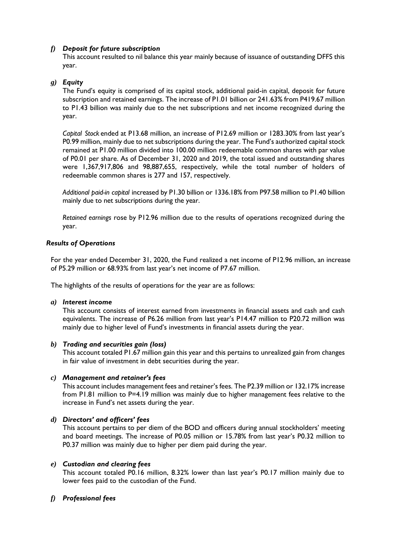## *f) Deposit for future subscription*

This account resulted to nil balance this year mainly because of issuance of outstanding DFFS this year.

### *g) Equity*

The Fund's equity is comprised of its capital stock, additional paid-in capital, deposit for future subscription and retained earnings. The increase of P1.01 billion or 241.63% from P419.67 million to P1.43 billion was mainly due to the net subscriptions and net income recognized during the year.

*Capital Stock* ended at P13.68 million, an increase of P12.69 million or 1283.30% from last year's P0.99 million, mainly due to net subscriptions during the year. The Fund's authorized capital stock remained at P1.00 million divided into 100.00 million redeemable common shares with par value of P0.01 per share. As of December 31, 2020 and 2019, the total issued and outstanding shares were 1,367,917,806 and 98,887,655, respectively, while the total number of holders of redeemable common shares is 277 and 157, respectively.

*Additional paid-in capital* increased by P1.30 billion or 1336.18% from P97.58 million to P1.40 billion mainly due to net subscriptions during the year.

*Retained earnings* rose by P12.96 million due to the results of operations recognized during the year.

### *Results of Operations*

For the year ended December 31, 2020, the Fund realized a net income of P12.96 million, an increase of P5.29 million or 68.93% from last year's net income of P7.67 million.

The highlights of the results of operations for the year are as follows:

### *a) Interest income*

This account consists of interest earned from investments in financial assets and cash and cash equivalents. The increase of P6.26 million from last year's P14.47 million to P20.72 million was mainly due to higher level of Fund's investments in financial assets during the year.

### *b) Trading and securities gain (loss)*

This account totaled P1.67 million gain this year and this pertains to unrealized gain from changes in fair value of investment in debt securities during the year.

### *c) Management and retainer's fees*

This account includes management fees and retainer's fees. The P2.39 million or 132.17% increase from P1.81 million to P=4.19 million was mainly due to higher management fees relative to the increase in Fund's net assets during the year.

### *d) Directors' and officers' fees*

This account pertains to per diem of the BOD and officers during annual stockholders' meeting and board meetings. The increase of P0.05 million or 15.78% from last year's P0.32 million to P0.37 million was mainly due to higher per diem paid during the year.

### *e) Custodian and clearing fees*

This account totaled P0.16 million, 8.32% lower than last year's P0.17 million mainly due to lower fees paid to the custodian of the Fund.

### *f) Professional fees*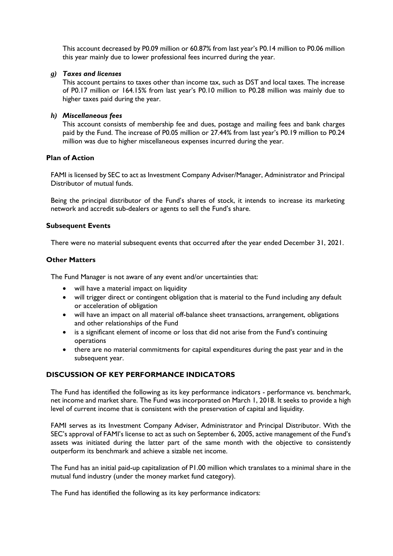This account decreased by P0.09 million or 60.87% from last year's P0.14 million to P0.06 million this year mainly due to lower professional fees incurred during the year.

#### *g) Taxes and licenses*

This account pertains to taxes other than income tax, such as DST and local taxes. The increase of P0.17 million or 164.15% from last year's P0.10 million to P0.28 million was mainly due to higher taxes paid during the year.

#### *h) Miscellaneous fees*

This account consists of membership fee and dues, postage and mailing fees and bank charges paid by the Fund. The increase of P0.05 million or 27.44% from last year's P0.19 million to P0.24 million was due to higher miscellaneous expenses incurred during the year.

### **Plan of Action**

FAMI is licensed by SEC to act as Investment Company Adviser/Manager, Administrator and Principal Distributor of mutual funds.

Being the principal distributor of the Fund's shares of stock, it intends to increase its marketing network and accredit sub-dealers or agents to sell the Fund's share.

#### **Subsequent Events**

There were no material subsequent events that occurred after the year ended December 31, 2021.

#### **Other Matters**

The Fund Manager is not aware of any event and/or uncertainties that:

- will have a material impact on liquidity
- will trigger direct or contingent obligation that is material to the Fund including any default or acceleration of obligation
- will have an impact on all material off-balance sheet transactions, arrangement, obligations and other relationships of the Fund
- is a significant element of income or loss that did not arise from the Fund's continuing operations
- there are no material commitments for capital expenditures during the past year and in the subsequent year.

### **DISCUSSION OF KEY PERFORMANCE INDICATORS**

The Fund has identified the following as its key performance indicators - performance vs. benchmark, net income and market share. The Fund was incorporated on March 1, 2018. It seeks to provide a high level of current income that is consistent with the preservation of capital and liquidity.

FAMI serves as its Investment Company Adviser, Administrator and Principal Distributor. With the SEC's approval of FAMI's license to act as such on September 6, 2005, active management of the Fund's assets was initiated during the latter part of the same month with the objective to consistently outperform its benchmark and achieve a sizable net income.

The Fund has an initial paid-up capitalization of P1.00 million which translates to a minimal share in the mutual fund industry (under the money market fund category).

The Fund has identified the following as its key performance indicators: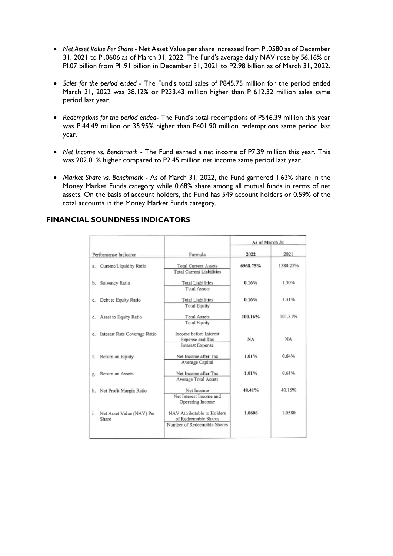- *Net Asset Value Per Share* Net Asset Value per share increased from Pl.0580 as of December 31, 2021 to Pl.0606 as of March 31, 2022. The Fund's average daily NAV rose by 56.16% or Pl.07 billion from Pl .91 billion in December 31, 2021 to P2.98 billion as of March 31, 2022.
- *Sales for the period ended* The Fund's total sales of P845.75 million for the period ended March 31, 2022 was 38.12% or P233.43 million higher than P 612.32 million sales same period last year.
- *Redemptions for the period ended* The Fund's total redemptions of P546.39 million this year was Pl44.49 million or 35.95% higher than P401.90 million redemptions same period last year.
- *Net Income vs. Benchmark* The Fund earned a net income of P7.39 million this year. This was 202.01% higher compared to P2.45 million net income same period last year.
- *Market Share vs. Benchmark* As of March 31, 2022, the Fund garnered 1.63% share in the Money Market Funds category while 0.68% share among all mutual funds in terms of net assets. On the basis of account holders, the Fund has 549 account holders or 0.59% of the total accounts in the Money Market Funds category.

### **FINANCIAL SOUNDNESS INDICATORS**

|                                          |                                                                                    | As of March 31 |          |
|------------------------------------------|------------------------------------------------------------------------------------|----------------|----------|
| Performance Indicator                    | Formula                                                                            | 2022           | 2021     |
| Current/Liquidity Ratio<br>ā.            | 6968.75%<br><b>Total Current Assets</b><br><b>Total Current Liabilities</b>        |                | 1580.25% |
| Solvency Ratio<br>b.                     | <b>Total Liabilities</b><br><b>Total Assets</b>                                    | 0.16%          | 1.30%    |
| Debt to Equity Ratio<br>c.               | <b>Total Liabilities</b><br><b>Total Equity</b>                                    | 0.16%          | 1.31%    |
| d. Asset to Equity Ratio                 | <b>Total Assets</b><br><b>Total Equity</b>                                         | 100.16%        | 101.31%  |
| Interest Rate Coverage Ratio<br>e.       | Income before Interest<br>Expense and Tax<br>Interest Expense                      | NA             | NA       |
| f.<br>Return on Equity                   | Net Income after Tax<br>Average Capital                                            | 1.01%          | 0.64%    |
| Return on Assets<br>g,                   | Net Income after Tax<br>Average Total Assets                                       | 1.01%          | 0.61%    |
| Net Profit Margin Ratio<br>h.            | Net Income<br>Net Interest Income and<br>Operating Income                          | 48.41%         | 40.16%   |
| i.<br>Net Asset Value (NAV) Per<br>Share | NAV Attributable to Holders<br>of Redeemable Shares<br>Number of Redeemable Shares | 1.0606         | 1.0580   |